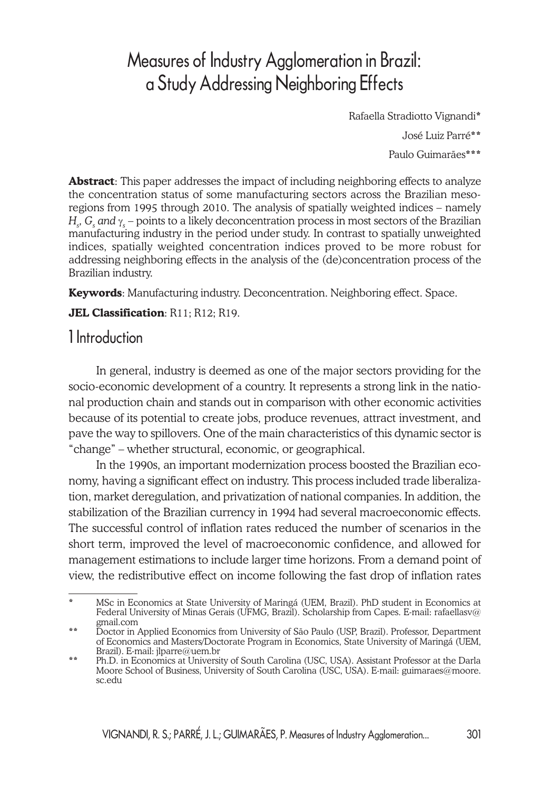# Measures of Industry Agglomeration in Brazil: a Study Addressing Neighboring Effects

Rafaella Stradiotto Vignandi\*

José Luiz Parré\*\*

Paulo Guimarães\*\*\*

**Abstract**: This paper addresses the impact of including neighboring effects to analyze the concentration status of some manufacturing sectors across the Brazilian mesoregions from 1995 through 2010. The analysis of spatially weighted indices – namely  $H_{\rm s}$ ,  $G_{\rm s}$  and  $\gamma_{\rm s}$  – points to a likely deconcentration process in most sectors of the Brazilian manufacturing industry in the period under study. In contrast to spatially unweighted indices, spatially weighted concentration indices proved to be more robust for addressing neighboring effects in the analysis of the (de)concentration process of the Brazilian industry.

**Keywords**: Manufacturing industry. Deconcentration. Neighboring effect. Space.

#### **JEL Classification**: R11; R12; R19.

# 1 Introduction

In general, industry is deemed as one of the major sectors providing for the socio-economic development of a country. It represents a strong link in the national production chain and stands out in comparison with other economic activities because of its potential to create jobs, produce revenues, attract investment, and pave the way to spillovers. One of the main characteristics of this dynamic sector is "change" – whether structural, economic, or geographical.

In the 1990s, an important modernization process boosted the Brazilian economy, having a significant effect on industry. This process included trade liberalization, market deregulation, and privatization of national companies. In addition, the stabilization of the Brazilian currency in 1994 had several macroeconomic effects. The successful control of inflation rates reduced the number of scenarios in the short term, improved the level of macroeconomic confidence, and allowed for management estimations to include larger time horizons. From a demand point of view, the redistributive effect on income following the fast drop of inflation rates

<sup>\*</sup> MSc in Economics at State University of Maringá (UEM, Brazil). PhD student in Economics at Federal University of Minas Gerais (UFMG, Brazil). Scholarship from Capes. E-mail: rafaellasv@ gmail.com

<sup>\*\*</sup> Doctor in Applied Economics from University of São Paulo (USP, Brazil). Professor, Department of Economics and Masters/Doctorate Program in Economics, State University of Maringá (UEM, Brazil). E-mail: jlparre@uem.br

<sup>\*\*</sup> Ph.D. in Economics at University of South Carolina (USC, USA). Assistant Professor at the Darla Moore School of Business, University of South Carolina (USC, USA). E-mail: guimaraes@moore. sc.edu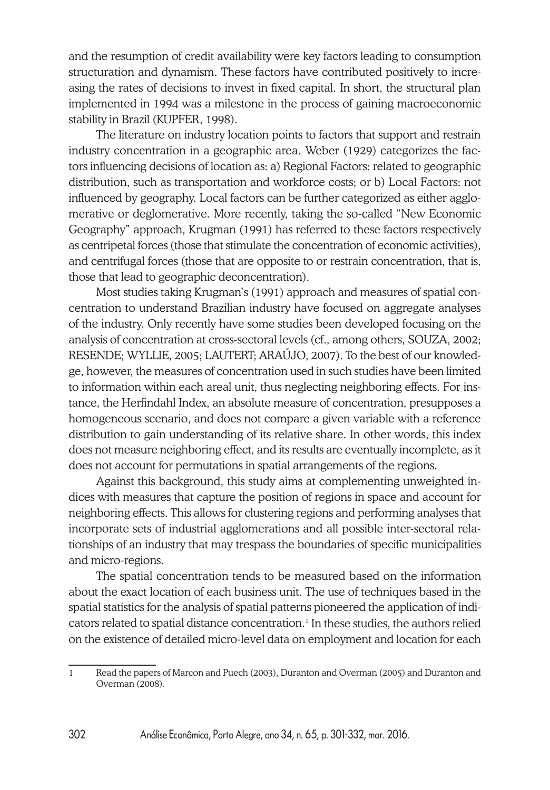and the resumption of credit availability were key factors leading to consumption structuration and dynamism. These factors have contributed positively to increasing the rates of decisions to invest in fixed capital. In short, the structural plan implemented in 1994 was a milestone in the process of gaining macroeconomic stability in Brazil (KUPFER, 1998).

The literature on industry location points to factors that support and restrain industry concentration in a geographic area. Weber (1929) categorizes the factors influencing decisions of location as: a) Regional Factors: related to geographic distribution, such as transportation and workforce costs; or b) Local Factors: not influenced by geography. Local factors can be further categorized as either agglomerative or deglomerative. More recently, taking the so-called "New Economic Geography" approach, Krugman (1991) has referred to these factors respectively as centripetal forces (those that stimulate the concentration of economic activities), and centrifugal forces (those that are opposite to or restrain concentration, that is, those that lead to geographic deconcentration).

Most studies taking Krugman's (1991) approach and measures of spatial concentration to understand Brazilian industry have focused on aggregate analyses of the industry. Only recently have some studies been developed focusing on the analysis of concentration at cross-sectoral levels (cf., among others, SOUZA, 2002; RESENDE; WYLLIE, 2005; LAUTERT; ARAÚJO, 2007). To the best of our knowledge, however, the measures of concentration used in such studies have been limited to information within each areal unit, thus neglecting neighboring effects. For instance, the Herfindahl Index, an absolute measure of concentration, presupposes a homogeneous scenario, and does not compare a given variable with a reference distribution to gain understanding of its relative share. In other words, this index does not measure neighboring effect, and its results are eventually incomplete, as it does not account for permutations in spatial arrangements of the regions.

Against this background, this study aims at complementing unweighted indices with measures that capture the position of regions in space and account for neighboring effects. This allows for clustering regions and performing analyses that incorporate sets of industrial agglomerations and all possible inter-sectoral relationships of an industry that may trespass the boundaries of specific municipalities and micro-regions.

The spatial concentration tends to be measured based on the information about the exact location of each business unit. The use of techniques based in the spatial statistics for the analysis of spatial patterns pioneered the application of indicators related to spatial distance concentration. $<sup>1</sup>$  In these studies, the authors relied</sup> on the existence of detailed micro-level data on employment and location for each

<sup>1</sup> Read the papers of Marcon and Puech (2003), Duranton and Overman (2005) and Duranton and Overman (2008).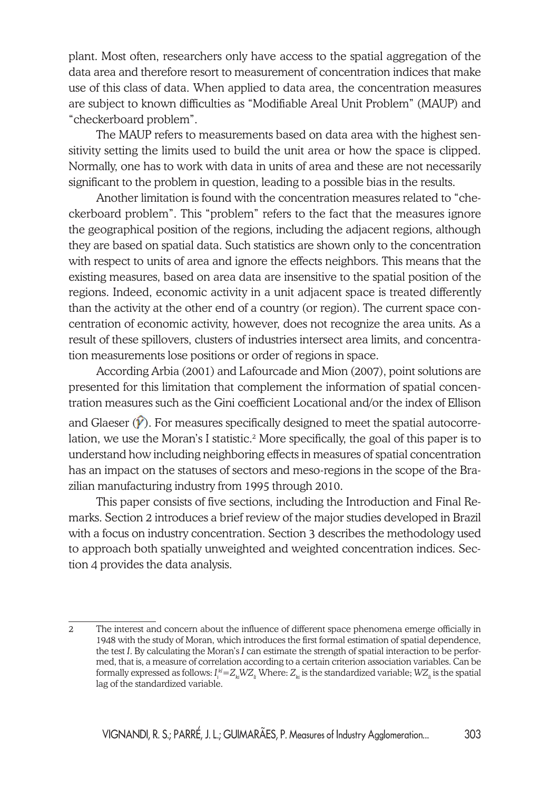plant. Most often, researchers only have access to the spatial aggregation of the data area and therefore resort to measurement of concentration indices that make use of this class of data. When applied to data area, the concentration measures are subject to known difficulties as "Modifiable Areal Unit Problem" (MAUP) and "checkerboard problem".

The MAUP refers to measurements based on data area with the highest sensitivity setting the limits used to build the unit area or how the space is clipped. Normally, one has to work with data in units of area and these are not necessarily significant to the problem in question, leading to a possible bias in the results.

Another limitation is found with the concentration measures related to "checkerboard problem". This "problem" refers to the fact that the measures ignore the geographical position of the regions, including the adjacent regions, although they are based on spatial data. Such statistics are shown only to the concentration with respect to units of area and ignore the effects neighbors. This means that the existing measures, based on area data are insensitive to the spatial position of the regions. Indeed, economic activity in a unit adjacent space is treated differently than the activity at the other end of a country (or region). The current space concentration of economic activity, however, does not recognize the area units. As a result of these spillovers, clusters of industries intersect area limits, and concentration measurements lose positions or order of regions in space.

According Arbia (2001) and Lafourcade and Mion (2007), point solutions are presented for this limitation that complement the information of spatial concentration measures such as the Gini coefficient Locational and/or the index of Ellison and Glaeser  $(\hat{\mathcal{V}})$ . For measures specifically designed to meet the spatial autocorrelation, we use the Moran's I statistic.<sup>2</sup> More specifically, the goal of this paper is to understand how including neighboring effects in measures of spatial concentration has an impact on the statuses of sectors and meso-regions in the scope of the Brazilian manufacturing industry from 1995 through 2010.

This paper consists of five sections, including the Introduction and Final Remarks. Section 2 introduces a brief review of the major studies developed in Brazil with a focus on industry concentration. Section 3 describes the methodology used to approach both spatially unweighted and weighted concentration indices. Section 4 provides the data analysis.

<sup>2</sup> The interest and concern about the influence of different space phenomena emerge officially in 1948 with the study of Moran, which introduces the first formal estimation of spatial dependence, the test *I*. By calculating the Moran's *I* can estimate the strength of spatial interaction to be performed, that is, a measure of correlation according to a certain criterion association variables. Can be formally expressed as follows:  $I_i^{kl}\!\!=\!\!Z_{_{kl}}\!W\!Z_{_{l\!i}}$  Where:  $Z_{_{kl}}$  is the standardized variable;  $W\!Z_{_{l\!i}}$  is the spatial lag of the standardized variable.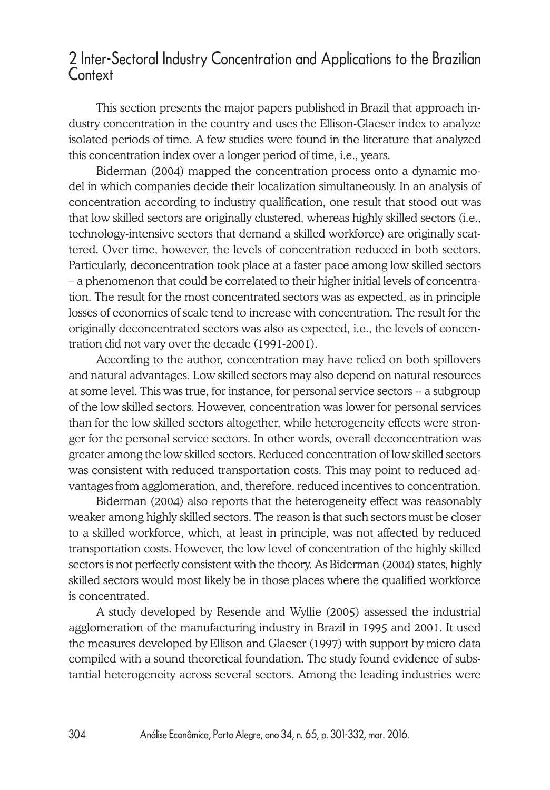#### 2 Inter-Sectoral Industry Concentration and Applications to the Brazilian Context

This section presents the major papers published in Brazil that approach industry concentration in the country and uses the Ellison-Glaeser index to analyze isolated periods of time. A few studies were found in the literature that analyzed this concentration index over a longer period of time, i.e., years.

Biderman (2004) mapped the concentration process onto a dynamic model in which companies decide their localization simultaneously. In an analysis of concentration according to industry qualification, one result that stood out was that low skilled sectors are originally clustered, whereas highly skilled sectors (i.e., technology-intensive sectors that demand a skilled workforce) are originally scattered. Over time, however, the levels of concentration reduced in both sectors. Particularly, deconcentration took place at a faster pace among low skilled sectors – a phenomenon that could be correlated to their higher initial levels of concentration. The result for the most concentrated sectors was as expected, as in principle losses of economies of scale tend to increase with concentration. The result for the originally deconcentrated sectors was also as expected, i.e., the levels of concentration did not vary over the decade (1991-2001).

According to the author, concentration may have relied on both spillovers and natural advantages. Low skilled sectors may also depend on natural resources at some level. This was true, for instance, for personal service sectors -- a subgroup of the low skilled sectors. However, concentration was lower for personal services than for the low skilled sectors altogether, while heterogeneity effects were stronger for the personal service sectors. In other words, overall deconcentration was greater among the low skilled sectors. Reduced concentration of low skilled sectors was consistent with reduced transportation costs. This may point to reduced advantages from agglomeration, and, therefore, reduced incentives to concentration.

Biderman (2004) also reports that the heterogeneity effect was reasonably weaker among highly skilled sectors. The reason is that such sectors must be closer to a skilled workforce, which, at least in principle, was not affected by reduced transportation costs. However, the low level of concentration of the highly skilled sectors is not perfectly consistent with the theory. As Biderman (2004) states, highly skilled sectors would most likely be in those places where the qualified workforce is concentrated.

A study developed by Resende and Wyllie (2005) assessed the industrial agglomeration of the manufacturing industry in Brazil in 1995 and 2001. It used the measures developed by Ellison and Glaeser (1997) with support by micro data compiled with a sound theoretical foundation. The study found evidence of substantial heterogeneity across several sectors. Among the leading industries were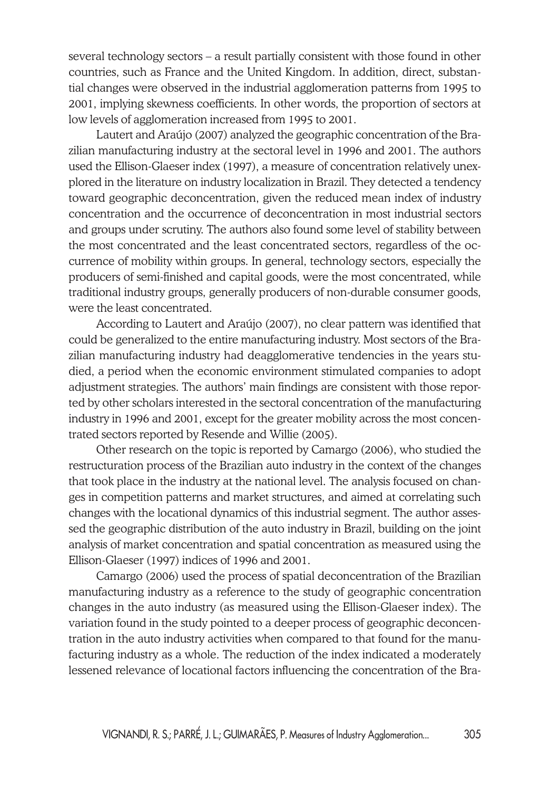several technology sectors – a result partially consistent with those found in other countries, such as France and the United Kingdom. In addition, direct, substantial changes were observed in the industrial agglomeration patterns from 1995 to 2001, implying skewness coefficients. In other words, the proportion of sectors at low levels of agglomeration increased from 1995 to 2001.

Lautert and Araújo (2007) analyzed the geographic concentration of the Brazilian manufacturing industry at the sectoral level in 1996 and 2001. The authors used the Ellison-Glaeser index (1997), a measure of concentration relatively unexplored in the literature on industry localization in Brazil. They detected a tendency toward geographic deconcentration, given the reduced mean index of industry concentration and the occurrence of deconcentration in most industrial sectors and groups under scrutiny. The authors also found some level of stability between the most concentrated and the least concentrated sectors, regardless of the occurrence of mobility within groups. In general, technology sectors, especially the producers of semi-finished and capital goods, were the most concentrated, while traditional industry groups, generally producers of non-durable consumer goods, were the least concentrated.

According to Lautert and Araújo (2007), no clear pattern was identified that could be generalized to the entire manufacturing industry. Most sectors of the Brazilian manufacturing industry had deagglomerative tendencies in the years studied, a period when the economic environment stimulated companies to adopt adjustment strategies. The authors' main findings are consistent with those reported by other scholars interested in the sectoral concentration of the manufacturing industry in 1996 and 2001, except for the greater mobility across the most concentrated sectors reported by Resende and Willie (2005).

Other research on the topic is reported by Camargo (2006), who studied the restructuration process of the Brazilian auto industry in the context of the changes that took place in the industry at the national level. The analysis focused on changes in competition patterns and market structures, and aimed at correlating such changes with the locational dynamics of this industrial segment. The author assessed the geographic distribution of the auto industry in Brazil, building on the joint analysis of market concentration and spatial concentration as measured using the Ellison-Glaeser (1997) indices of 1996 and 2001.

Camargo (2006) used the process of spatial deconcentration of the Brazilian manufacturing industry as a reference to the study of geographic concentration changes in the auto industry (as measured using the Ellison-Glaeser index). The variation found in the study pointed to a deeper process of geographic deconcentration in the auto industry activities when compared to that found for the manufacturing industry as a whole. The reduction of the index indicated a moderately lessened relevance of locational factors influencing the concentration of the Bra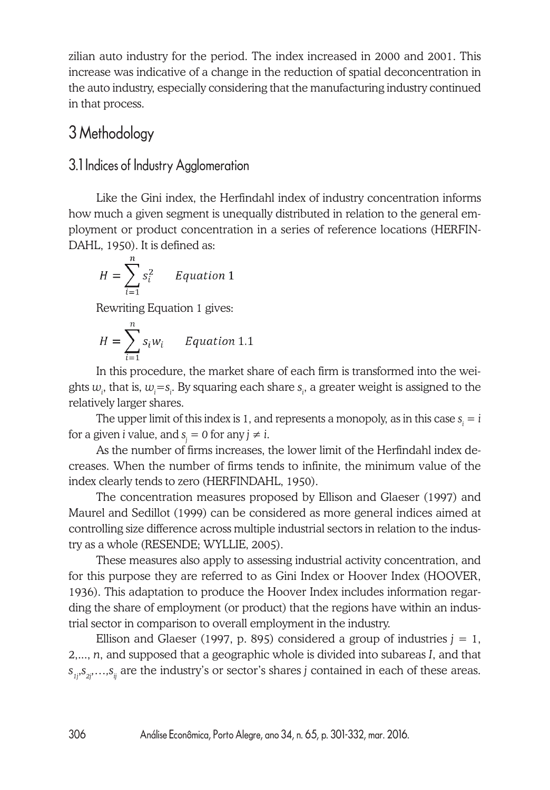zilian auto industry for the period. The index increased in 2000 and 2001. This increase was indicative of a change in the reduction of spatial deconcentration in the auto industry, especially considering that the manufacturing industry continued in that process.

# 3 Methodology

#### 3.1 Indices of Industry Agglomeration

Like the Gini index, the Herfindahl index of industry concentration informs how much a given segment is unequally distributed in relation to the general employment or product concentration in a series of reference locations (HERFIN-DAHL, 1950). It is defined as:

$$
H = \sum_{i=1}^{n} s_i^2
$$
 *Equation 1*

Rewriting Equation 1 gives:

$$
H = \sum_{i=1}^{n} s_i w_i
$$
 Equation 1.1

In this procedure, the market share of each firm is transformed into the weights  $w_i$ , that is,  $w_i = s_i$ . By squaring each share  $s_i$ , a greater weight is assigned to the relatively larger shares.

The upper limit of this index is 1, and represents a monopoly, as in this case  $s_{_i}=i$ for a given  $i$  value, and  $s_{\hat{j}} = 0$  for any  $j \neq i$ .

As the number of firms increases, the lower limit of the Herfindahl index decreases. When the number of firms tends to infinite, the minimum value of the index clearly tends to zero (HERFINDAHL, 1950).

The concentration measures proposed by Ellison and Glaeser (1997) and Maurel and Sedillot (1999) can be considered as more general indices aimed at controlling size difference across multiple industrial sectors in relation to the industry as a whole (RESENDE; WYLLIE, 2005).

These measures also apply to assessing industrial activity concentration, and for this purpose they are referred to as Gini Index or Hoover Index (HOOVER, 1936). This adaptation to produce the Hoover Index includes information regarding the share of employment (or product) that the regions have within an industrial sector in comparison to overall employment in the industry.

Ellison and Glaeser (1997, p. 895) considered a group of industries  $j = 1$ , 2,..., *n*, and supposed that a geographic whole is divided into subareas *I*, and that  $s_{1i}, s_{2i}, \ldots, s_{ij}$  are the industry's or sector's shares *j* contained in each of these areas.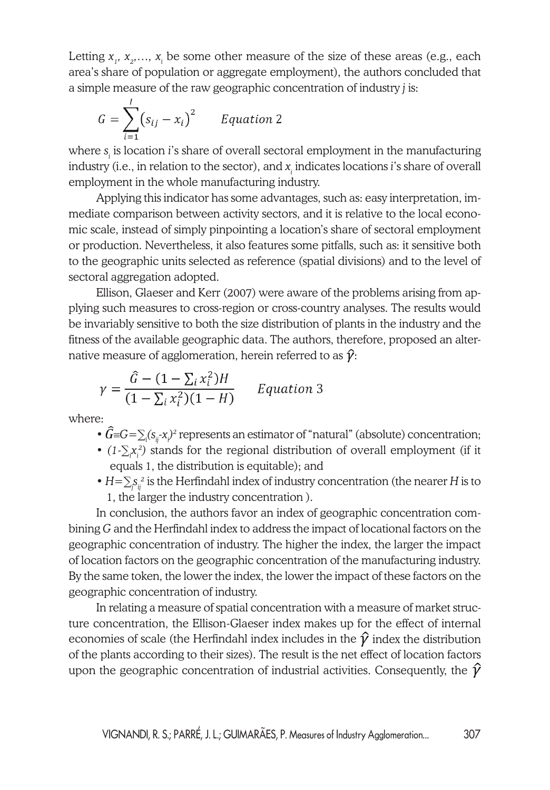Letting  $x_1, x_2, \ldots, x_i$  be some other measure of the size of these areas (e.g., each area's share of population or aggregate employment), the authors concluded that a simple measure of the raw geographic concentration of industry *j* is:

$$
G = \sum_{i=1}^{I} (s_{ij} - x_i)^2
$$
 Equation 2

where  $s_{\scriptscriptstyle \hat{i}}$  is location *i*'s share of overall sectoral employment in the manufacturing industry (i.e., in relation to the sector), and  $x_{\vphantom{i}}$  indicates locations  $i$ 's share of overall employment in the whole manufacturing industry.

Applying this indicator has some advantages, such as: easy interpretation, immediate comparison between activity sectors, and it is relative to the local economic scale, instead of simply pinpointing a location's share of sectoral employment or production. Nevertheless, it also features some pitfalls, such as: it sensitive both to the geographic units selected as reference (spatial divisions) and to the level of sectoral aggregation adopted.

Ellison, Glaeser and Kerr (2007) were aware of the problems arising from applying such measures to cross-region or cross-country analyses. The results would be invariably sensitive to both the size distribution of plants in the industry and the fitness of the available geographic data. The authors, therefore, proposed an alternative measure of agglomeration, herein referred to as  $\hat{\gamma}$ :

$$
\gamma = \frac{\hat{G} - (1 - \sum_i x_i^2)H}{(1 - \sum_i x_i^2)(1 - H)}
$$
 Equation 3

where:

- $G \equiv G = \sum_i (s_{ij} \cdot x_i)^2$  represents an estimator of "natural" (absolute) concentration;
- (1⋅∑<sub>*i*</sub><sup>*x*<sub>*i*</sub></sub>) stands for the regional distribution of overall employment (if it</sup> equals 1, the distribution is equitable); and
- *H*=∑ $S_{ij}^2$  is the Herfindahl index of industry concentration (the nearer *H* is to 1, the larger the industry concentration ).

In conclusion, the authors favor an index of geographic concentration combining *G* and the Herfindahl index to address the impact of locational factors on the geographic concentration of industry. The higher the index, the larger the impact of location factors on the geographic concentration of the manufacturing industry. By the same token, the lower the index, the lower the impact of these factors on the geographic concentration of industry.

In relating a measure of spatial concentration with a measure of market structure concentration, the Ellison-Glaeser index makes up for the effect of internal economies of scale (the Herfindahl index includes in the  $\hat{\gamma}$  index the distribution of the plants according to their sizes). The result is the net effect of location factors upon the geographic concentration of industrial activities. Consequently, the  $\hat{\gamma}$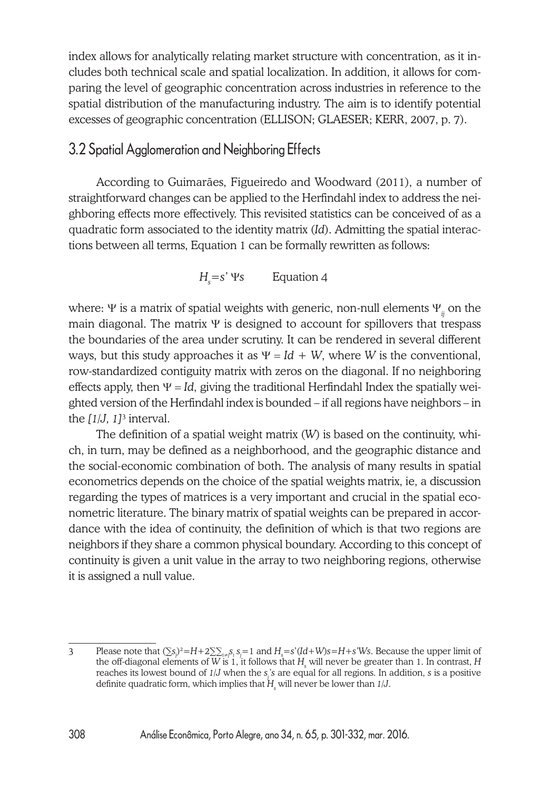index allows for analytically relating market structure with concentration, as it includes both technical scale and spatial localization. In addition, it allows for comparing the level of geographic concentration across industries in reference to the spatial distribution of the manufacturing industry. The aim is to identify potential excesses of geographic concentration (ELLISON; GLAESER; KERR, 2007, p. 7).

#### 3.2 Spatial Agglomeration and Neighboring Effects

According to Guimarães, Figueiredo and Woodward (2011), a number of straightforward changes can be applied to the Herfindahl index to address the neighboring effects more effectively. This revisited statistics can be conceived of as a quadratic form associated to the identity matrix (*Id*). Admitting the spatial interactions between all terms, Equation 1 can be formally rewritten as follows:

 *Hs*  $H_s = s' \Psi s$  Equation 4

where: Ψ is a matrix of spatial weights with generic, non-null elements Ψ*ij* on the main diagonal. The matrix Ψ is designed to account for spillovers that trespass the boundaries of the area under scrutiny. It can be rendered in several different ways, but this study approaches it as  $\Psi = Id + W$ , where *W* is the conventional, row-standardized contiguity matrix with zeros on the diagonal. If no neighboring effects apply, then  $\Psi = Id$ , giving the traditional Herfindahl Index the spatially weighted version of the Herfindahl index is bounded – if all regions have neighbors – in the *[1/J, 1]*<sup>3</sup> interval.

The definition of a spatial weight matrix (*W*) is based on the continuity, which, in turn, may be defined as a neighborhood, and the geographic distance and the social-economic combination of both. The analysis of many results in spatial econometrics depends on the choice of the spatial weights matrix, ie, a discussion regarding the types of matrices is a very important and crucial in the spatial econometric literature. The binary matrix of spatial weights can be prepared in accordance with the idea of continuity, the definition of which is that two regions are neighbors if they share a common physical boundary. According to this concept of continuity is given a unit value in the array to two neighboring regions, otherwise it is assigned a null value.

 $3$  Please note that  $(\sum s_j)^2 = H + 2\sum_{i \neq j} s_j = 1$  and  $H_s = s'(Id + W)s = H + s'Ws$ . Because the upper limit of the off-diagonal elements of W is 1, it follows that  $H_{\frac{1}{s}}$  will never be greater than 1. In contrast,  $H$ reaches its lowest bound of *1/J* when the *sj 's* are equal for all regions. In addition, *s* is a positive definite quadratic form, which implies that *Hs* will never be lower than *1/J*.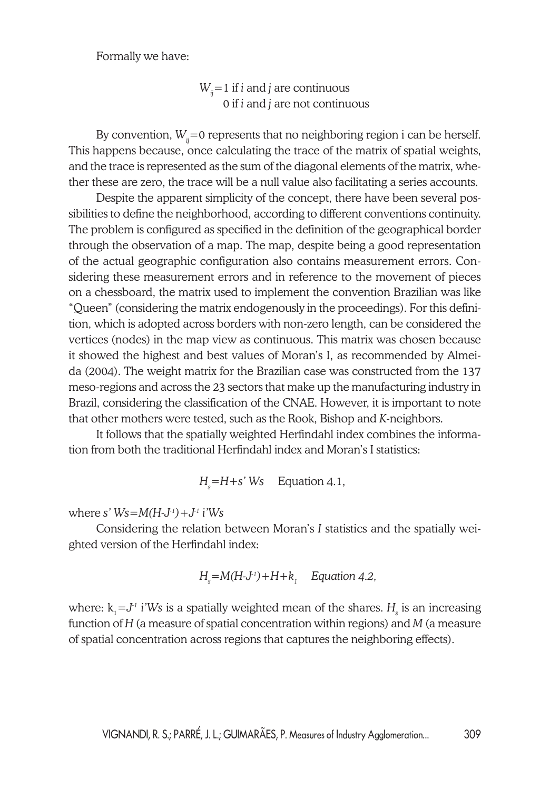Formally we have:

 $W_{ij}$ =1 if *i* and *j* are continuous 0 if *i* and *j* are not continuous

By convention,  $W_i = 0$  represents that no neighboring region i can be herself. This happens because, once calculating the trace of the matrix of spatial weights, and the trace is represented as the sum of the diagonal elements of the matrix, whether these are zero, the trace will be a null value also facilitating a series accounts.

Despite the apparent simplicity of the concept, there have been several possibilities to define the neighborhood, according to different conventions continuity. The problem is configured as specified in the definition of the geographical border through the observation of a map. The map, despite being a good representation of the actual geographic configuration also contains measurement errors. Considering these measurement errors and in reference to the movement of pieces on a chessboard, the matrix used to implement the convention Brazilian was like "Queen" (considering the matrix endogenously in the proceedings). For this definition, which is adopted across borders with non-zero length, can be considered the vertices (nodes) in the map view as continuous. This matrix was chosen because it showed the highest and best values of Moran's I, as recommended by Almeida (2004). The weight matrix for the Brazilian case was constructed from the 137 meso-regions and across the 23 sectors that make up the manufacturing industry in Brazil, considering the classification of the CNAE. However, it is important to note that other mothers were tested, such as the Rook, Bishop and *K*-neighbors.

It follows that the spatially weighted Herfindahl index combines the information from both the traditional Herfindahl index and Moran's I statistics:

$$
Hs=H+s' Ws \quad Equation 4.1,
$$

where *s' Ws*=*M(H-J-1)+J-1 i'Ws*

Considering the relation between Moran's *I* statistics and the spatially weighted version of the Herfindahl index:

$$
H_s = M(H-J^{-1}) + H + k_1
$$
 Equation 4.2,

where:  $\mathrm{k}_{\mathrm{i}}$  = $J^{\mathrm{i}}$  i'Ws is a spatially weighted mean of the shares.  $H_{\mathrm{s}}$  is an increasing function of *H* (a measure of spatial concentration within regions) and *M* (a measure of spatial concentration across regions that captures the neighboring effects).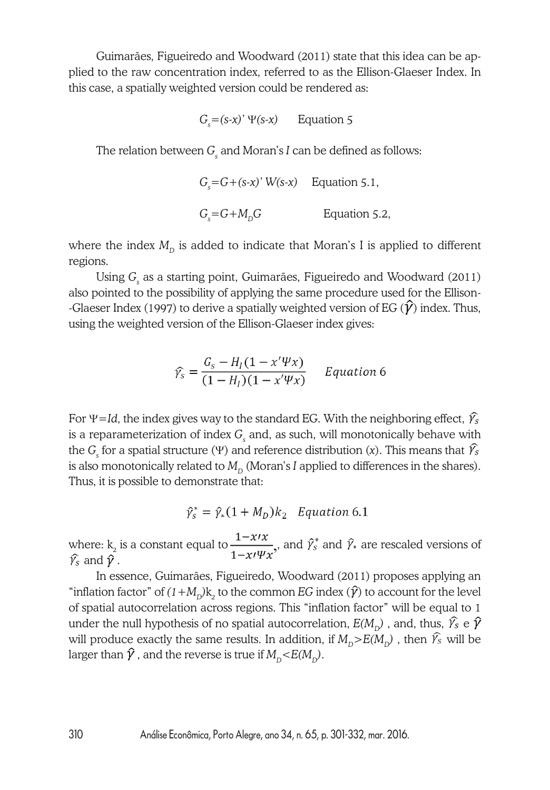Guimarães, Figueiredo and Woodward (2011) state that this idea can be applied to the raw concentration index, referred to as the Ellison-Glaeser Index. In this case, a spatially weighted version could be rendered as:

 $G<sub>s</sub> = (s-x)'$   $\Psi(s-x)$  Equation 5

The relation between  $G_{\!\scriptscriptstyle\rm g}$  and Moran's *I* can be defined as follows:

$$
G_s = G + (s-x)' W(s-x)
$$
 Equation 5.1,  
 $G_s = G + M_D G$  Equation 5.2,

where the index  $M_{\text{D}}$  is added to indicate that Moran's I is applied to different regions.

Using *Gs* as a starting point, Guimarães, Figueiredo and Woodward (2011) also pointed to the possibility of applying the same procedure used for the Ellison- -Glaeser Index (1997) to derive a spatially weighted version of EG ( $\hat{\mathcal{V}}$ ) index. Thus, using the weighted version of the Ellison-Glaeser index gives:

$$
\widehat{\gamma_s} = \frac{G_s - H_I(1 - x'\Psi x)}{(1 - H_I)(1 - x'\Psi x)} \qquad Equation 6
$$

For  $\Psi = Id$ , the index gives way to the standard EG. With the neighboring effect,  $\hat{\gamma_s}$ is a reparameterization of index  $G_{\!\scriptscriptstyle\rm g}$  and, as such, will monotonically behave with the *G<sub>s</sub>* for a spatial structure (Ψ) and reference distribution (*x*). This means that is also monotonically related to  $M<sub>p</sub>$  (Moran's *I* applied to differences in the shares). Thus, it is possible to demonstrate that:

$$
\hat{\gamma}_s^* = \hat{\gamma}_*(1 + M_D)k_2 \quad Equation 6.1
$$

where:  $k_2$  is a constant equal to  $\frac{1}{4} m \frac{W}{W}$ , and  $\hat{\gamma}^2$  and  $\hat{\gamma}^2$  are rescaled versions of  $\widehat{\mathcal{V}}_s$  and  $\widehat{\mathcal{V}}$  .

In essence, Guimarães, Figueiredo, Woodward (2011) proposes applying an "inflation factor" of  $(1+M^D_{\rm D})$ k<sub>2</sub> to the common *EG* index  $(\hat{\gamma})$  to account for the level of spatial autocorrelation across regions. This "inflation factor" will be equal to 1 under the null hypothesis of no spatial autocorrelation,  $E(M_{\nu})$ , and, thus,  $\hat{Y}_s$  e  $\hat{Y}$ will produce exactly the same results. In addition, if  $M_{\text{n}} > E(M_{\text{n}})$ , then  $\hat{Y}_s$  will be larger than  $\hat{\gamma}$ , and the reverse is true if  $M_{\text{D}} < E(M_{\text{D}})$ .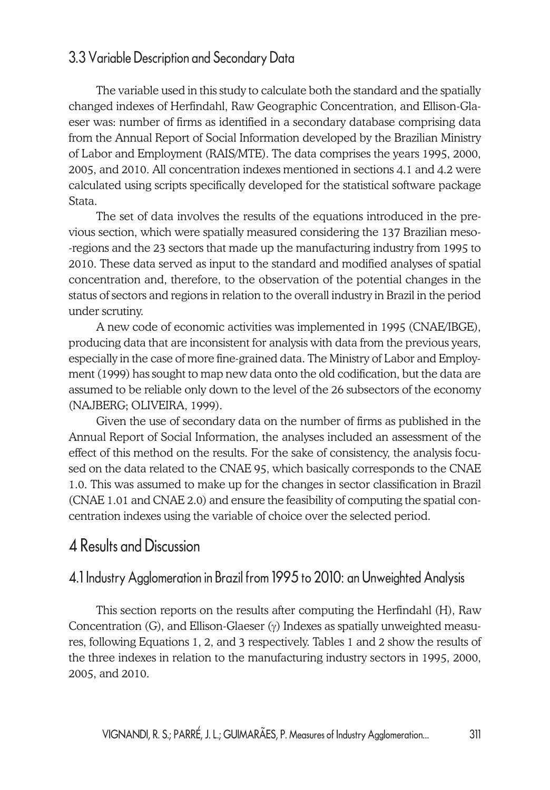# 3.3 Variable Description and Secondary Data

The variable used in this study to calculate both the standard and the spatially changed indexes of Herfindahl, Raw Geographic Concentration, and Ellison-Glaeser was: number of firms as identified in a secondary database comprising data from the Annual Report of Social Information developed by the Brazilian Ministry of Labor and Employment (RAIS/MTE). The data comprises the years 1995, 2000, 2005, and 2010. All concentration indexes mentioned in sections 4.1 and 4.2 were calculated using scripts specifically developed for the statistical software package Stata.

The set of data involves the results of the equations introduced in the previous section, which were spatially measured considering the 137 Brazilian meso- -regions and the 23 sectors that made up the manufacturing industry from 1995 to 2010. These data served as input to the standard and modified analyses of spatial concentration and, therefore, to the observation of the potential changes in the status of sectors and regions in relation to the overall industry in Brazil in the period under scrutiny.

A new code of economic activities was implemented in 1995 (CNAE/IBGE), producing data that are inconsistent for analysis with data from the previous years, especially in the case of more fine-grained data. The Ministry of Labor and Employment (1999) has sought to map new data onto the old codification, but the data are assumed to be reliable only down to the level of the 26 subsectors of the economy (NAJBERG; OLIVEIRA, 1999).

Given the use of secondary data on the number of firms as published in the Annual Report of Social Information, the analyses included an assessment of the effect of this method on the results. For the sake of consistency, the analysis focused on the data related to the CNAE 95, which basically corresponds to the CNAE 1.0. This was assumed to make up for the changes in sector classification in Brazil (CNAE 1.01 and CNAE 2.0) and ensure the feasibility of computing the spatial concentration indexes using the variable of choice over the selected period.

# 4 Results and Discussion

#### 4.1 Industry Agglomeration in Brazil from 1995 to 2010: an Unweighted Analysis

This section reports on the results after computing the Herfindahl (H), Raw Concentration (G), and Ellison-Glaeser  $(y)$  Indexes as spatially unweighted measures, following Equations 1, 2, and 3 respectively. Tables 1 and 2 show the results of the three indexes in relation to the manufacturing industry sectors in 1995, 2000, 2005, and 2010.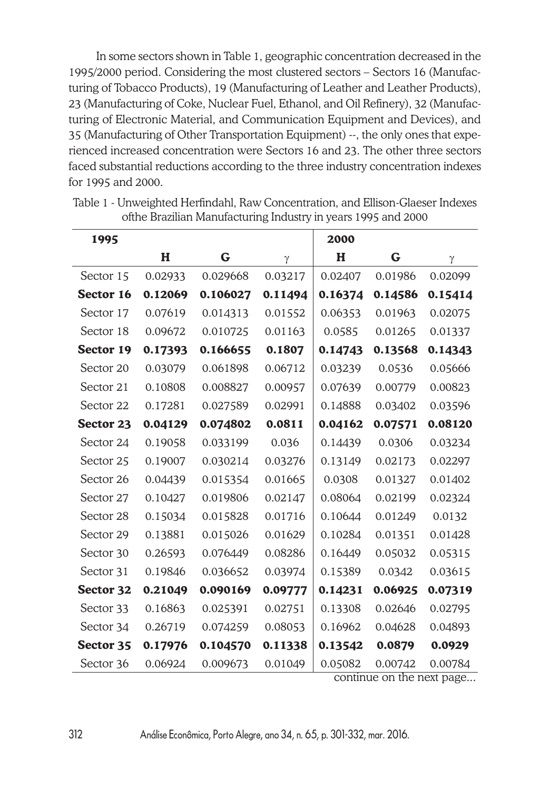In some sectors shown in Table 1, geographic concentration decreased in the 1995/2000 period. Considering the most clustered sectors – Sectors 16 (Manufacturing of Tobacco Products), 19 (Manufacturing of Leather and Leather Products), 23 (Manufacturing of Coke, Nuclear Fuel, Ethanol, and Oil Refinery), 32 (Manufacturing of Electronic Material, and Communication Equipment and Devices), and 35 (Manufacturing of Other Transportation Equipment) --, the only ones that experienced increased concentration were Sectors 16 and 23. The other three sectors faced substantial reductions according to the three industry concentration indexes for 1995 and 2000.

| 1995      |         |          |         | 2000                            |                      |         |
|-----------|---------|----------|---------|---------------------------------|----------------------|---------|
|           | H       | G        | γ       | H                               | G                    | γ       |
| Sector 15 | 0.02933 | 0.029668 | 0.03217 | 0.02407                         | 0.01986              | 0.02099 |
| Sector 16 | 0.12069 | 0.106027 | 0.11494 | 0.16374                         | 0.14586              | 0.15414 |
| Sector 17 | 0.07619 | 0.014313 | 0.01552 | 0.06353                         | 0.01963              | 0.02075 |
| Sector 18 | 0.09672 | 0.010725 | 0.01163 | 0.0585                          | 0.01265              | 0.01337 |
| Sector 19 | 0.17393 | 0.166655 | 0.1807  | 0.14743                         | 0.13568              | 0.14343 |
| Sector 20 | 0.03079 | 0.061898 | 0.06712 | 0.03239                         | 0.0536               | 0.05666 |
| Sector 21 | 0.10808 | 0.008827 | 0.00957 | 0.07639                         | 0.00779              | 0.00823 |
| Sector 22 | 0.17281 | 0.027589 | 0.02991 | 0.14888                         | 0.03402              | 0.03596 |
| Sector 23 | 0.04129 | 0.074802 | 0.0811  | 0.04162                         | 0.07571              | 0.08120 |
| Sector 24 | 0.19058 | 0.033199 | 0.036   | 0.14439                         | 0.0306               | 0.03234 |
| Sector 25 | 0.19007 | 0.030214 | 0.03276 | 0.13149                         | 0.02173              | 0.02297 |
| Sector 26 | 0.04439 | 0.015354 | 0.01665 | 0.0308                          | 0.01327              | 0.01402 |
| Sector 27 | 0.10427 | 0.019806 | 0.02147 | 0.08064                         | 0.02199              | 0.02324 |
| Sector 28 | 0.15034 | 0.015828 | 0.01716 | 0.10644                         | 0.01249              | 0.0132  |
| Sector 29 | 0.13881 | 0.015026 | 0.01629 | 0.10284                         | 0.01351              | 0.01428 |
| Sector 30 | 0.26593 | 0.076449 | 0.08286 | 0.16449                         | 0.05032              | 0.05315 |
| Sector 31 | 0.19846 | 0.036652 | 0.03974 | 0.15389                         | 0.0342               | 0.03615 |
| Sector 32 | 0.21049 | 0.090169 | 0.09777 | 0.14231                         | 0.06925              | 0.07319 |
| Sector 33 | 0.16863 | 0.025391 | 0.02751 | 0.13308                         | 0.02646              | 0.02795 |
| Sector 34 | 0.26719 | 0.074259 | 0.08053 | 0.16962                         | 0.04628              | 0.04893 |
| Sector 35 | 0.17976 | 0.104570 | 0.11338 | 0.13542                         | 0.0879               | 0.0929  |
| Sector 36 | 0.06924 | 0.009673 | 0.01049 | 0.05082<br>$\sim$ ntinii $\sim$ | 0.00742<br>$\sim$ +h | 0.00784 |

Table 1 - Unweighted Herfindahl, Raw Concentration, and Ellison-Glaeser Indexes ofthe Brazilian Manufacturing Industry in years 1995 and 2000

continue on the next page...

312 Análise Econômica, Porto Alegre, ano 34, n. 65, p. 301-332, mar. 2016.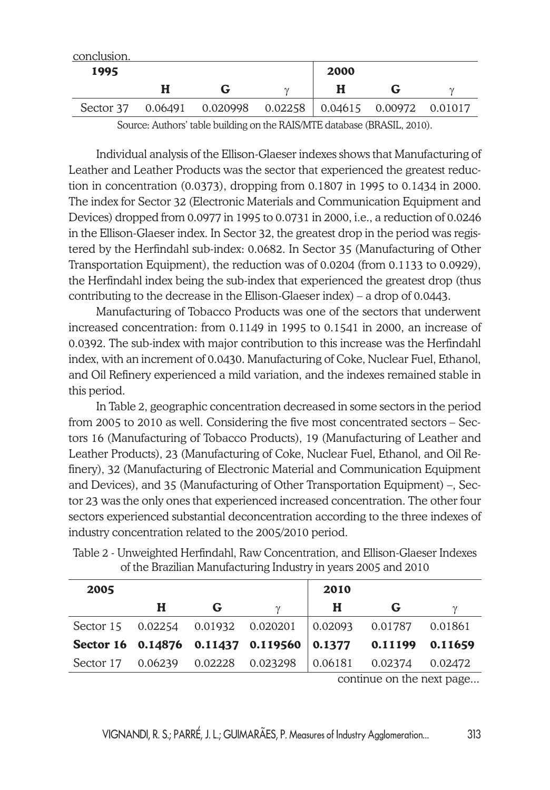| conclusion. |   |                                                                  |      |  |
|-------------|---|------------------------------------------------------------------|------|--|
| 1995        |   |                                                                  | 2000 |  |
|             | н |                                                                  |      |  |
|             |   | Sector 37  0.06491  0.020998  0.02258  0.04615  0.00972  0.01017 |      |  |
|             |   |                                                                  |      |  |

Source: Authors' table building on the RAIS/MTE database (BRASIL, 2010).

Individual analysis of the Ellison-Glaeser indexes shows that Manufacturing of Leather and Leather Products was the sector that experienced the greatest reduction in concentration (0.0373), dropping from 0.1807 in 1995 to 0.1434 in 2000. The index for Sector 32 (Electronic Materials and Communication Equipment and Devices) dropped from 0.0977 in 1995 to 0.0731 in 2000, i.e., a reduction of 0.0246 in the Ellison-Glaeser index. In Sector 32, the greatest drop in the period was registered by the Herfindahl sub-index: 0.0682. In Sector 35 (Manufacturing of Other Transportation Equipment), the reduction was of 0.0204 (from 0.1133 to 0.0929), the Herfindahl index being the sub-index that experienced the greatest drop (thus contributing to the decrease in the Ellison-Glaeser index) – a drop of 0.0443.

Manufacturing of Tobacco Products was one of the sectors that underwent increased concentration: from 0.1149 in 1995 to 0.1541 in 2000, an increase of 0.0392. The sub-index with major contribution to this increase was the Herfindahl index, with an increment of 0.0430. Manufacturing of Coke, Nuclear Fuel, Ethanol, and Oil Refinery experienced a mild variation, and the indexes remained stable in this period.

In Table 2, geographic concentration decreased in some sectors in the period from 2005 to 2010 as well. Considering the five most concentrated sectors – Sectors 16 (Manufacturing of Tobacco Products), 19 (Manufacturing of Leather and Leather Products), 23 (Manufacturing of Coke, Nuclear Fuel, Ethanol, and Oil Refinery), 32 (Manufacturing of Electronic Material and Communication Equipment and Devices), and 35 (Manufacturing of Other Transportation Equipment) –, Sector 23 was the only ones that experienced increased concentration. The other four sectors experienced substantial deconcentration according to the three indexes of industry concentration related to the 2005/2010 period.

| 2005 |   |   |                                                                  | 2010 |         |         |
|------|---|---|------------------------------------------------------------------|------|---------|---------|
|      | н | G |                                                                  | Н    | G       |         |
|      |   |   | Sector 15  0.02254  0.01932  0.020201  0.02093  0.01787  0.01861 |      |         |         |
|      |   |   | Sector 16 $0.14876$ 0.11437 0.119560 0.1377 0.11199              |      |         | 0.11659 |
|      |   |   | Sector 17  0.06239  0.02228  0.023298  0.06181                   |      | 0.02374 | 0.02472 |

Table 2 - Unweighted Herfindahl, Raw Concentration, and Ellison-Glaeser Indexes of the Brazilian Manufacturing Industry in years 2005 and 2010

continue on the next page...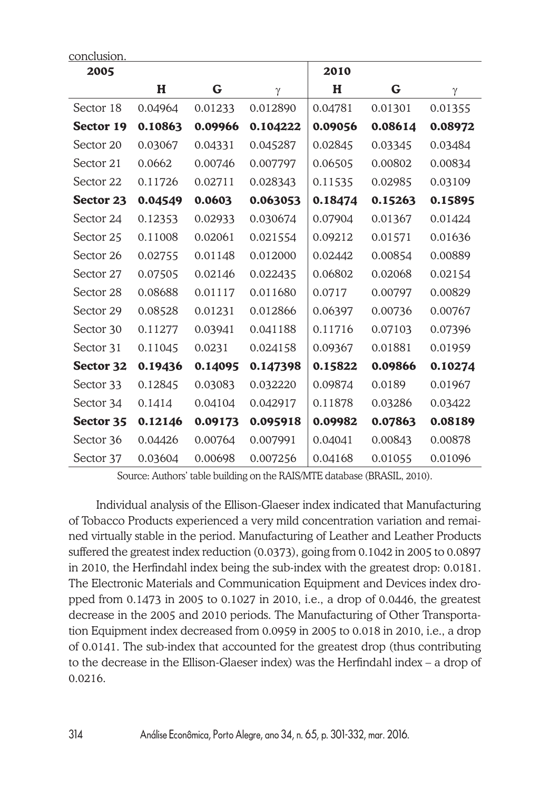| 2005      |         |         |          | 2010    |         |         |
|-----------|---------|---------|----------|---------|---------|---------|
|           | H       | G       | $\gamma$ | H       | G       | γ       |
| Sector 18 | 0.04964 | 0.01233 | 0.012890 | 0.04781 | 0.01301 | 0.01355 |
| Sector 19 | 0.10863 | 0.09966 | 0.104222 | 0.09056 | 0.08614 | 0.08972 |
| Sector 20 | 0.03067 | 0.04331 | 0.045287 | 0.02845 | 0.03345 | 0.03484 |
| Sector 21 | 0.0662  | 0.00746 | 0.007797 | 0.06505 | 0.00802 | 0.00834 |
| Sector 22 | 0.11726 | 0.02711 | 0.028343 | 0.11535 | 0.02985 | 0.03109 |
| Sector 23 | 0.04549 | 0.0603  | 0.063053 | 0.18474 | 0.15263 | 0.15895 |
| Sector 24 | 0.12353 | 0.02933 | 0.030674 | 0.07904 | 0.01367 | 0.01424 |
| Sector 25 | 0.11008 | 0.02061 | 0.021554 | 0.09212 | 0.01571 | 0.01636 |
| Sector 26 | 0.02755 | 0.01148 | 0.012000 | 0.02442 | 0.00854 | 0.00889 |
| Sector 27 | 0.07505 | 0.02146 | 0.022435 | 0.06802 | 0.02068 | 0.02154 |
| Sector 28 | 0.08688 | 0.01117 | 0.011680 | 0.0717  | 0.00797 | 0.00829 |
| Sector 29 | 0.08528 | 0.01231 | 0.012866 | 0.06397 | 0.00736 | 0.00767 |
| Sector 30 | 0.11277 | 0.03941 | 0.041188 | 0.11716 | 0.07103 | 0.07396 |
| Sector 31 | 0.11045 | 0.0231  | 0.024158 | 0.09367 | 0.01881 | 0.01959 |
| Sector 32 | 0.19436 | 0.14095 | 0.147398 | 0.15822 | 0.09866 | 0.10274 |
| Sector 33 | 0.12845 | 0.03083 | 0.032220 | 0.09874 | 0.0189  | 0.01967 |
| Sector 34 | 0.1414  | 0.04104 | 0.042917 | 0.11878 | 0.03286 | 0.03422 |
| Sector 35 | 0.12146 | 0.09173 | 0.095918 | 0.09982 | 0.07863 | 0.08189 |
| Sector 36 | 0.04426 | 0.00764 | 0.007991 | 0.04041 | 0.00843 | 0.00878 |
| Sector 37 | 0.03604 | 0.00698 | 0.007256 | 0.04168 | 0.01055 | 0.01096 |

Source: Authors' table building on the RAIS/MTE database (BRASIL, 2010).

Individual analysis of the Ellison-Glaeser index indicated that Manufacturing of Tobacco Products experienced a very mild concentration variation and remained virtually stable in the period. Manufacturing of Leather and Leather Products suffered the greatest index reduction (0.0373), going from 0.1042 in 2005 to 0.0897 in 2010, the Herfindahl index being the sub-index with the greatest drop: 0.0181. The Electronic Materials and Communication Equipment and Devices index dropped from 0.1473 in 2005 to 0.1027 in 2010, i.e., a drop of 0.0446, the greatest decrease in the 2005 and 2010 periods. The Manufacturing of Other Transportation Equipment index decreased from 0.0959 in 2005 to 0.018 in 2010, i.e., a drop of 0.0141. The sub-index that accounted for the greatest drop (thus contributing to the decrease in the Ellison-Glaeser index) was the Herfindahl index – a drop of 0.0216.

conclusion.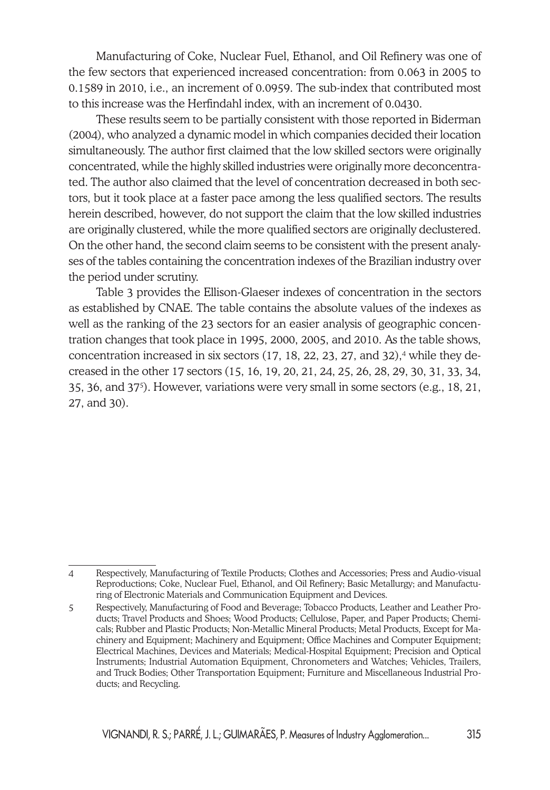Manufacturing of Coke, Nuclear Fuel, Ethanol, and Oil Refinery was one of the few sectors that experienced increased concentration: from 0.063 in 2005 to 0.1589 in 2010, i.e., an increment of 0.0959. The sub-index that contributed most to this increase was the Herfindahl index, with an increment of 0.0430.

These results seem to be partially consistent with those reported in Biderman (2004), who analyzed a dynamic model in which companies decided their location simultaneously. The author first claimed that the low skilled sectors were originally concentrated, while the highly skilled industries were originally more deconcentrated. The author also claimed that the level of concentration decreased in both sectors, but it took place at a faster pace among the less qualified sectors. The results herein described, however, do not support the claim that the low skilled industries are originally clustered, while the more qualified sectors are originally declustered. On the other hand, the second claim seems to be consistent with the present analyses of the tables containing the concentration indexes of the Brazilian industry over the period under scrutiny.

Table 3 provides the Ellison-Glaeser indexes of concentration in the sectors as established by CNAE. The table contains the absolute values of the indexes as well as the ranking of the 23 sectors for an easier analysis of geographic concentration changes that took place in 1995, 2000, 2005, and 2010. As the table shows, concentration increased in six sectors  $(17, 18, 22, 23, 27,$  and  $32)$ ,<sup>4</sup> while they decreased in the other 17 sectors (15, 16, 19, 20, 21, 24, 25, 26, 28, 29, 30, 31, 33, 34, 35, 36, and 375 ). However, variations were very small in some sectors (e.g., 18, 21, 27, and 30).

<sup>4</sup> Respectively, Manufacturing of Textile Products; Clothes and Accessories; Press and Audio-visual Reproductions; Coke, Nuclear Fuel, Ethanol, and Oil Refinery; Basic Metallurgy; and Manufacturing of Electronic Materials and Communication Equipment and Devices.

<sup>5</sup> Respectively, Manufacturing of Food and Beverage; Tobacco Products, Leather and Leather Products; Travel Products and Shoes; Wood Products; Cellulose, Paper, and Paper Products; Chemicals; Rubber and Plastic Products; Non-Metallic Mineral Products; Metal Products, Except for Machinery and Equipment; Machinery and Equipment; Office Machines and Computer Equipment; Electrical Machines, Devices and Materials; Medical-Hospital Equipment; Precision and Optical Instruments; Industrial Automation Equipment, Chronometers and Watches; Vehicles, Trailers, and Truck Bodies; Other Transportation Equipment; Furniture and Miscellaneous Industrial Products; and Recycling.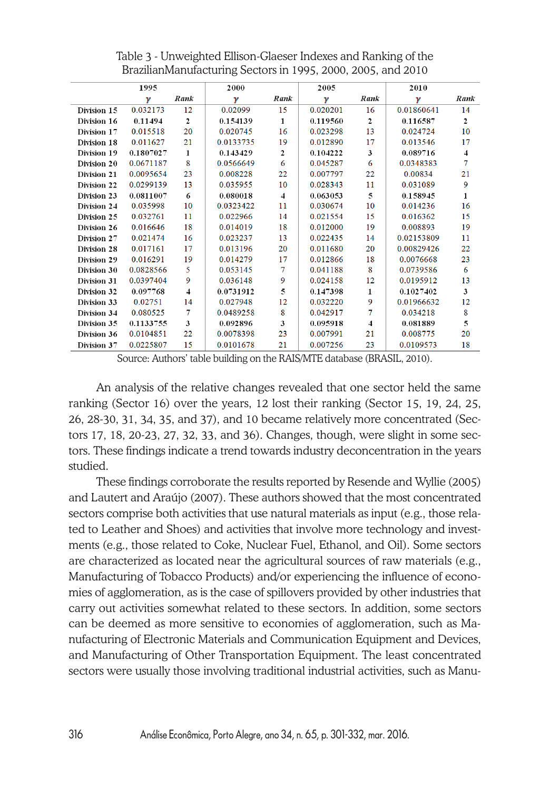|             | 1995      |              | 2000      |      | 2005     |              | 2010       |      |
|-------------|-----------|--------------|-----------|------|----------|--------------|------------|------|
|             | γ         | Rank         | γ         | Rank | ν        | Rank         | γ          | Rank |
| Division 15 | 0.032173  | 12           | 0.02099   | 15   | 0.020201 | 16           | 0.01860641 | 14   |
| Division 16 | 0.11494   | $\mathbf{2}$ | 0.154139  | 1    | 0.119560 | $\mathbf{2}$ | 0.116587   | 2    |
| Division 17 | 0.015518  | 20           | 0.020745  | 16   | 0.023298 | 13           | 0.024724   | 10   |
| Division 18 | 0.011627  | 21           | 0.0133735 | 19   | 0.012890 | 17           | 0.013546   | 17   |
| Division 19 | 0.1807027 | $\mathbf{1}$ | 0.143429  | 2    | 0.104222 | 3            | 0.089716   | 4    |
| Division 20 | 0.0671187 | 8            | 0.0566649 | 6    | 0.045287 | 6            | 0.0348383  | 7    |
| Division 21 | 0.0095654 | 23           | 0.008228  | 22   | 0.007797 | 22           | 0.00834    | 21   |
| Division 22 | 0.0299139 | 13           | 0.035955  | 10   | 0.028343 | 11           | 0.031089   | 9    |
| Division 23 | 0.0811007 | 6            | 0.080018  | 4    | 0.063053 | 5            | 0.158945   | 1    |
| Division 24 | 0.035998  | 10           | 0.0323422 | 11   | 0.030674 | 10           | 0.014236   | 16   |
| Division 25 | 0.032761  | 11           | 0.022966  | 14   | 0.021554 | 15           | 0.016362   | 15   |
| Division 26 | 0.016646  | 18           | 0.014019  | 18   | 0.012000 | 19           | 0.008893   | 19   |
| Division 27 | 0.021474  | 16           | 0.023237  | 13   | 0.022435 | 14           | 0.02153809 | 11   |
| Division 28 | 0.017161  | 17           | 0.013196  | 20   | 0.011680 | 20           | 0.00829426 | 22   |
| Division 29 | 0.016291  | 19           | 0.014279  | 17   | 0.012866 | 18           | 0.0076668  | 23   |
| Division 30 | 0.0828566 | 5            | 0.053145  | 7    | 0.041188 | 8            | 0.0739586  | 6    |
| Division 31 | 0.0397404 | 9            | 0.036148  | 9    | 0.024158 | 12           | 0.0195912  | 13   |
| Division 32 | 0.097768  | 4            | 0.0731912 | 5    | 0.147398 | 1            | 0.1027402  | 3    |
| Division 33 | 0.02751   | 14           | 0.027948  | 12   | 0.032220 | 9            | 0.01966632 | 12   |
| Division 34 | 0.080525  | 7            | 0.0489258 | 8    | 0.042917 | 7            | 0.034218   | 8    |
| Division 35 | 0.1133755 | 3            | 0.092896  | 3    | 0.095918 | 4            | 0.081889   | 5    |
| Division 36 | 0.0104851 | 22           | 0.0078398 | 23   | 0.007991 | 21           | 0.008775   | 20   |
| Division 37 | 0.0225807 | 15           | 0.0101678 | 21   | 0.007256 | 23           | 0.0109573  | 18   |

Table 3 - Unweighted Ellison-Glaeser Indexes and Ranking of the BrazilianManufacturing Sectors in 1995, 2000, 2005, and 2010

Source: Authors' table building on the RAIS/MTE database (BRASIL, 2010).

An analysis of the relative changes revealed that one sector held the same ranking (Sector 16) over the years, 12 lost their ranking (Sector 15, 19, 24, 25, 26, 28-30, 31, 34, 35, and 37), and 10 became relatively more concentrated (Sectors 17, 18, 20-23, 27, 32, 33, and 36). Changes, though, were slight in some sectors. These findings indicate a trend towards industry deconcentration in the years studied.

These findings corroborate the results reported by Resende and Wyllie (2005) and Lautert and Araújo (2007). These authors showed that the most concentrated sectors comprise both activities that use natural materials as input (e.g., those related to Leather and Shoes) and activities that involve more technology and investments (e.g., those related to Coke, Nuclear Fuel, Ethanol, and Oil). Some sectors are characterized as located near the agricultural sources of raw materials (e.g., Manufacturing of Tobacco Products) and/or experiencing the influence of economies of agglomeration, as is the case of spillovers provided by other industries that carry out activities somewhat related to these sectors. In addition, some sectors can be deemed as more sensitive to economies of agglomeration, such as Manufacturing of Electronic Materials and Communication Equipment and Devices, and Manufacturing of Other Transportation Equipment. The least concentrated sectors were usually those involving traditional industrial activities, such as Manu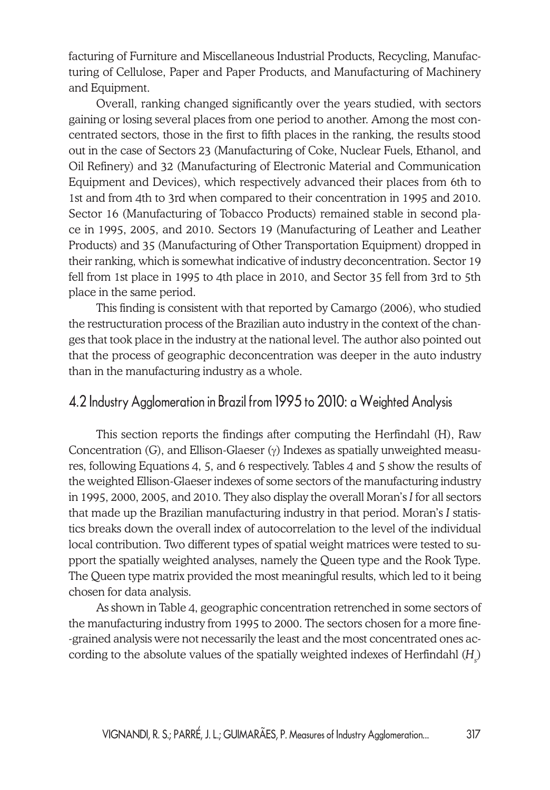facturing of Furniture and Miscellaneous Industrial Products, Recycling, Manufacturing of Cellulose, Paper and Paper Products, and Manufacturing of Machinery and Equipment.

Overall, ranking changed significantly over the years studied, with sectors gaining or losing several places from one period to another. Among the most concentrated sectors, those in the first to fifth places in the ranking, the results stood out in the case of Sectors 23 (Manufacturing of Coke, Nuclear Fuels, Ethanol, and Oil Refinery) and 32 (Manufacturing of Electronic Material and Communication Equipment and Devices), which respectively advanced their places from 6th to 1st and from 4th to 3rd when compared to their concentration in 1995 and 2010. Sector 16 (Manufacturing of Tobacco Products) remained stable in second place in 1995, 2005, and 2010. Sectors 19 (Manufacturing of Leather and Leather Products) and 35 (Manufacturing of Other Transportation Equipment) dropped in their ranking, which is somewhat indicative of industry deconcentration. Sector 19 fell from 1st place in 1995 to 4th place in 2010, and Sector 35 fell from 3rd to 5th place in the same period.

This finding is consistent with that reported by Camargo (2006), who studied the restructuration process of the Brazilian auto industry in the context of the changes that took place in the industry at the national level. The author also pointed out that the process of geographic deconcentration was deeper in the auto industry than in the manufacturing industry as a whole.

#### 4.2 Industry Agglomeration in Brazil from 1995 to 2010: a Weighted Analysis

This section reports the findings after computing the Herfindahl (H), Raw Concentration (G), and Ellison-Glaeser  $(\gamma)$  Indexes as spatially unweighted measures, following Equations 4, 5, and 6 respectively. Tables 4 and 5 show the results of the weighted Ellison-Glaeser indexes of some sectors of the manufacturing industry in 1995, 2000, 2005, and 2010. They also display the overall Moran's *I* for all sectors that made up the Brazilian manufacturing industry in that period. Moran's *I* statistics breaks down the overall index of autocorrelation to the level of the individual local contribution. Two different types of spatial weight matrices were tested to support the spatially weighted analyses, namely the Queen type and the Rook Type. The Queen type matrix provided the most meaningful results, which led to it being chosen for data analysis.

As shown in Table 4, geographic concentration retrenched in some sectors of the manufacturing industry from 1995 to 2000. The sectors chosen for a more fine- -grained analysis were not necessarily the least and the most concentrated ones according to the absolute values of the spatially weighted indexes of Herfindahl (H<sub>s</sub>)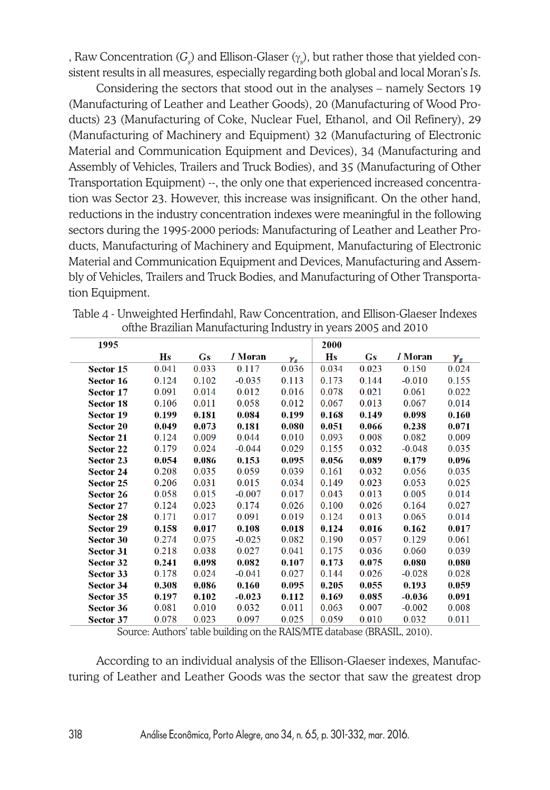, Raw Concentration ( $G_{\!\scriptscriptstyle\beta}$ ) and Ellison-Glaser ( $\gamma_{\scriptscriptstyle\beta}$ ), but rather those that yielded consistent results in all measures, especially regarding both global and local Moran's *I*s.

Considering the sectors that stood out in the analyses – namely Sectors 19 (Manufacturing of Leather and Leather Goods), 20 (Manufacturing of Wood Products) 23 (Manufacturing of Coke, Nuclear Fuel, Ethanol, and Oil Refinery), 29 (Manufacturing of Machinery and Equipment) 32 (Manufacturing of Electronic Material and Communication Equipment and Devices), 34 (Manufacturing and Assembly of Vehicles, Trailers and Truck Bodies), and 35 (Manufacturing of Other Transportation Equipment) --, the only one that experienced increased concentration was Sector 23. However, this increase was insignificant. On the other hand, reductions in the industry concentration indexes were meaningful in the following sectors during the 1995-2000 periods: Manufacturing of Leather and Leather Products, Manufacturing of Machinery and Equipment, Manufacturing of Electronic Material and Communication Equipment and Devices, Manufacturing and Assembly of Vehicles, Trailers and Truck Bodies, and Manufacturing of Other Transportation Equipment.

| 1995             |       |           |                |       | 2000  |       |                |       |
|------------------|-------|-----------|----------------|-------|-------|-------|----------------|-------|
|                  | Hs    | <b>Gs</b> | <i>I</i> Moran | γ.    | Hs    | Gs    | <i>I</i> Moran | γ.    |
| Sector 15        | 0.041 | 0.033     | 0.117          | 0.036 | 0.034 | 0.023 | 0.150          | 0.024 |
| Sector 16        | 0.124 | 0.102     | $-0.035$       | 0.113 | 0.173 | 0.144 | $-0.010$       | 0.155 |
| Sector 17        | 0.091 | 0.014     | 0.012          | 0.016 | 0.078 | 0.021 | 0.061          | 0.022 |
| Sector 18        | 0.106 | 0.011     | 0.058          | 0.012 | 0.067 | 0.013 | 0.067          | 0.014 |
| Sector 19        | 0.199 | 0.181     | 0.084          | 0.199 | 0.168 | 0.149 | 0.098          | 0.160 |
| <b>Sector 20</b> | 0.049 | 0.073     | 0.181          | 0.080 | 0.051 | 0.066 | 0.238          | 0.071 |
| Sector 21        | 0.124 | 0.009     | 0.044          | 0.010 | 0.093 | 0.008 | 0.082          | 0.009 |
| Sector 22        | 0.179 | 0.024     | $-0.044$       | 0.029 | 0.155 | 0.032 | $-0.048$       | 0.035 |
| Sector 23        | 0.054 | 0.086     | 0.153          | 0.095 | 0.056 | 0.089 | 0.179          | 0.096 |
| Sector 24        | 0.208 | 0.035     | 0.059          | 0.039 | 0.161 | 0.032 | 0.056          | 0.035 |
| Sector 25        | 0.206 | 0.031     | 0.015          | 0.034 | 0.149 | 0.023 | 0.053          | 0.025 |
| Sector 26        | 0.058 | 0.015     | $-0.007$       | 0.017 | 0.043 | 0.013 | 0.005          | 0.014 |
| Sector 27        | 0.124 | 0.023     | 0.174          | 0.026 | 0.100 | 0.026 | 0.164          | 0.027 |
| <b>Sector 28</b> | 0.171 | 0.017     | 0.091          | 0.019 | 0.124 | 0.013 | 0.065          | 0.014 |
| Sector 29        | 0.158 | 0.017     | 0.108          | 0.018 | 0.124 | 0.016 | 0.162          | 0.017 |
| Sector 30        | 0.274 | 0.075     | $-0.025$       | 0.082 | 0.190 | 0.057 | 0.129          | 0.061 |
| <b>Sector 31</b> | 0.218 | 0.038     | 0.027          | 0.041 | 0.175 | 0.036 | 0.060          | 0.039 |
| Sector 32        | 0.241 | 0.098     | 0.082          | 0.107 | 0.173 | 0.075 | 0.080          | 0.080 |
| Sector 33        | 0.178 | 0.024     | $-0.041$       | 0.027 | 0.144 | 0.026 | $-0.028$       | 0.028 |
| Sector 34        | 0.308 | 0.086     | 0.160          | 0.095 | 0.205 | 0.055 | 0.193          | 0.059 |
| Sector 35        | 0.197 | 0.102     | $-0.023$       | 0.112 | 0.169 | 0.085 | $-0.036$       | 0.091 |
| Sector 36        | 0.081 | 0.010     | 0.032          | 0.011 | 0.063 | 0.007 | $-0.002$       | 0.008 |
| Sector 37        | 0.078 | 0.023     | 0.097          | 0.025 | 0.059 | 0.010 | 0.032          | 0.011 |

Table 4 - Unweighted Herfindahl, Raw Concentration, and Ellison-Glaeser Indexes ofthe Brazilian Manufacturing Industry in years 2005 and 2010

Source: Authors' table building on the RAIS/MTE database (BRASIL, 2010).

According to an individual analysis of the Ellison-Glaeser indexes, Manufacturing of Leather and Leather Goods was the sector that saw the greatest drop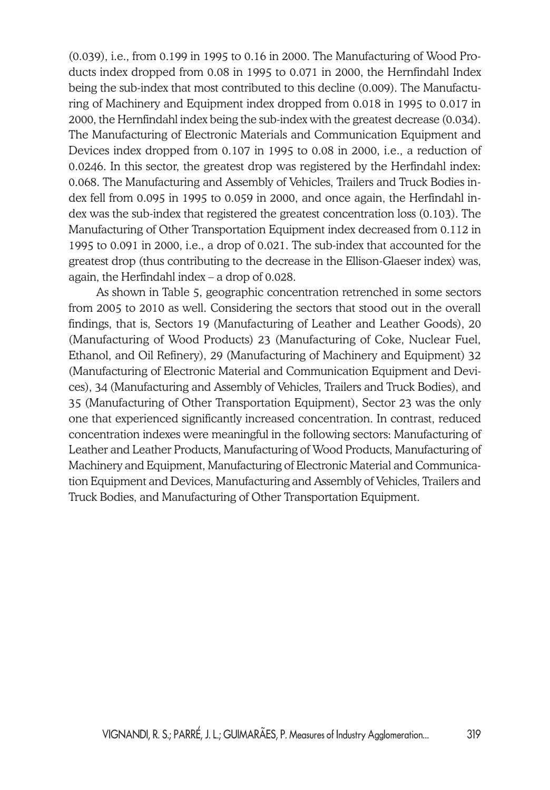(0.039), i.e., from 0.199 in 1995 to 0.16 in 2000. The Manufacturing of Wood Products index dropped from 0.08 in 1995 to 0.071 in 2000, the Hernfindahl Index being the sub-index that most contributed to this decline (0.009). The Manufacturing of Machinery and Equipment index dropped from 0.018 in 1995 to 0.017 in 2000, the Hernfindahl index being the sub-index with the greatest decrease (0.034). The Manufacturing of Electronic Materials and Communication Equipment and Devices index dropped from 0.107 in 1995 to 0.08 in 2000, i.e., a reduction of 0.0246. In this sector, the greatest drop was registered by the Herfindahl index: 0.068. The Manufacturing and Assembly of Vehicles, Trailers and Truck Bodies index fell from 0.095 in 1995 to 0.059 in 2000, and once again, the Herfindahl index was the sub-index that registered the greatest concentration loss (0.103). The Manufacturing of Other Transportation Equipment index decreased from 0.112 in 1995 to 0.091 in 2000, i.e., a drop of 0.021. The sub-index that accounted for the greatest drop (thus contributing to the decrease in the Ellison-Glaeser index) was, again, the Herfindahl index – a drop of 0.028.

As shown in Table 5, geographic concentration retrenched in some sectors from 2005 to 2010 as well. Considering the sectors that stood out in the overall findings, that is, Sectors 19 (Manufacturing of Leather and Leather Goods), 20 (Manufacturing of Wood Products) 23 (Manufacturing of Coke, Nuclear Fuel, Ethanol, and Oil Refinery), 29 (Manufacturing of Machinery and Equipment) 32 (Manufacturing of Electronic Material and Communication Equipment and Devices), 34 (Manufacturing and Assembly of Vehicles, Trailers and Truck Bodies), and 35 (Manufacturing of Other Transportation Equipment), Sector 23 was the only one that experienced significantly increased concentration. In contrast, reduced concentration indexes were meaningful in the following sectors: Manufacturing of Leather and Leather Products, Manufacturing of Wood Products, Manufacturing of Machinery and Equipment, Manufacturing of Electronic Material and Communication Equipment and Devices, Manufacturing and Assembly of Vehicles, Trailers and Truck Bodies, and Manufacturing of Other Transportation Equipment.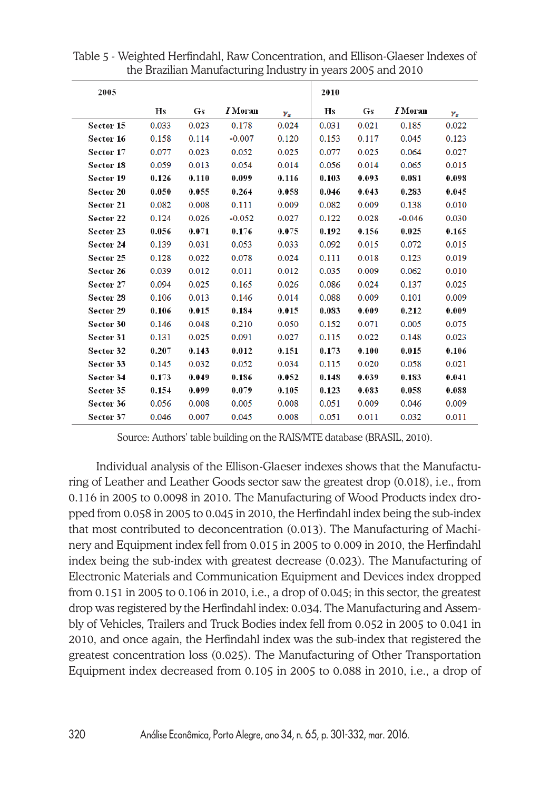| 2005      |       |                        |                |                         | 2010  |           |                |                         |
|-----------|-------|------------------------|----------------|-------------------------|-------|-----------|----------------|-------------------------|
|           | Hs    | $\mathbf{G}\mathbf{s}$ | <i>I</i> Moran | $\boldsymbol{\gamma_s}$ | Hs    | $\bf G$ s | <i>I</i> Moran | $\boldsymbol{\gamma_s}$ |
| Sector 15 | 0.033 | 0.023                  | 0.178          | 0.024                   | 0.031 | 0.021     | 0.185          | 0.022                   |
| Sector 16 | 0.158 | 0.114                  | $-0.007$       | 0.120                   | 0.153 | 0.117     | 0.045          | 0.123                   |
| Sector 17 | 0.077 | 0.023                  | 0.052          | 0.025                   | 0.077 | 0.025     | 0.064          | 0.027                   |
| Sector 18 | 0.059 | 0.013                  | 0.054          | 0.014                   | 0.056 | 0.014     | 0.065          | 0.015                   |
| Sector 19 | 0.126 | 0.110                  | 0.099          | 0.116                   | 0.103 | 0.093     | 0.081          | 0.098                   |
| Sector 20 | 0.050 | 0.055                  | 0.264          | 0.058                   | 0.046 | 0.043     | 0.283          | 0.045                   |
| Sector 21 | 0.082 | 0.008                  | 0.111          | 0.009                   | 0.082 | 0.009     | 0.138          | 0.010                   |
| Sector 22 | 0.124 | 0.026                  | $-0.052$       | 0.027                   | 0.122 | 0.028     | $-0.046$       | 0.030                   |
| Sector 23 | 0.056 | 0.071                  | 0.176          | 0.075                   | 0.192 | 0.156     | 0.025          | 0.165                   |
| Sector 24 | 0.139 | 0.031                  | 0.053          | 0.033                   | 0.092 | 0.015     | 0.072          | 0.015                   |
| Sector 25 | 0.128 | 0.022                  | 0.078          | 0.024                   | 0.111 | 0.018     | 0.123          | 0.019                   |
| Sector 26 | 0.039 | 0.012                  | 0.011          | 0.012                   | 0.035 | 0.009     | 0.062          | 0.010                   |
| Sector 27 | 0.094 | 0.025                  | 0.165          | 0.026                   | 0.086 | 0.024     | 0.137          | 0.025                   |
| Sector 28 | 0.106 | 0.013                  | 0.146          | 0.014                   | 0.088 | 0.009     | 0.101          | 0.009                   |
| Sector 29 | 0.106 | 0.015                  | 0.184          | 0.015                   | 0.083 | 0.009     | 0.212          | 0.009                   |
| Sector 30 | 0.146 | 0.048                  | 0.210          | 0.050                   | 0.152 | 0.071     | 0.005          | 0.075                   |
| Sector 31 | 0.131 | 0.025                  | 0.091          | 0.027                   | 0.115 | 0.022     | 0.148          | 0.023                   |
| Sector 32 | 0.207 | 0.143                  | 0.012          | 0.151                   | 0.173 | 0.100     | 0.015          | 0.106                   |
| Sector 33 | 0.145 | 0.032                  | 0.052          | 0.034                   | 0.115 | 0.020     | 0.058          | 0.021                   |
| Sector 34 | 0.173 | 0.049                  | 0.186          | 0.052                   | 0.148 | 0.039     | 0.183          | 0.041                   |
| Sector 35 | 0.154 | 0.099                  | 0.079          | 0.105                   | 0.123 | 0.083     | 0.058          | 0.088                   |
| Sector 36 | 0.056 | 0.008                  | 0.005          | 0.008                   | 0.051 | 0.009     | 0.046          | 0.009                   |
| Sector 37 | 0.046 | 0.007                  | 0.045          | 0.008                   | 0.051 | 0.011     | 0.032          | 0.011                   |

Table 5 - Weighted Herfindahl, Raw Concentration, and Ellison-Glaeser Indexes of the Brazilian Manufacturing Industry in years 2005 and 2010

Source: Authors' table building on the RAIS/MTE database (BRASIL, 2010).

Individual analysis of the Ellison-Glaeser indexes shows that the Manufacturing of Leather and Leather Goods sector saw the greatest drop (0.018), i.e., from 0.116 in 2005 to 0.0098 in 2010. The Manufacturing of Wood Products index dropped from 0.058 in 2005 to 0.045 in 2010, the Herfindahl index being the sub-index that most contributed to deconcentration (0.013). The Manufacturing of Machinery and Equipment index fell from 0.015 in 2005 to 0.009 in 2010, the Herfindahl index being the sub-index with greatest decrease (0.023). The Manufacturing of Electronic Materials and Communication Equipment and Devices index dropped from 0.151 in 2005 to 0.106 in 2010, i.e., a drop of 0.045; in this sector, the greatest drop was registered by the Herfindahl index: 0.034. The Manufacturing and Assembly of Vehicles, Trailers and Truck Bodies index fell from 0.052 in 2005 to 0.041 in 2010, and once again, the Herfindahl index was the sub-index that registered the greatest concentration loss (0.025). The Manufacturing of Other Transportation Equipment index decreased from 0.105 in 2005 to 0.088 in 2010, i.e., a drop of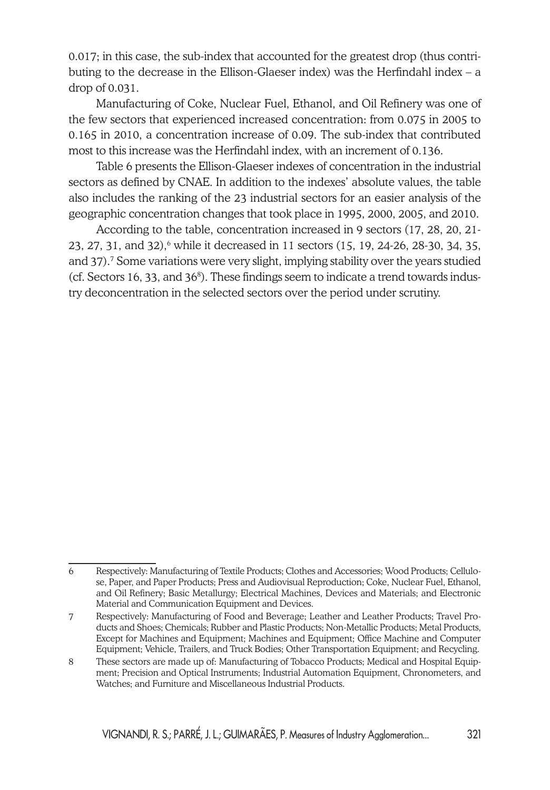0.017; in this case, the sub-index that accounted for the greatest drop (thus contributing to the decrease in the Ellison-Glaeser index) was the Herfindahl index – a drop of 0.031.

Manufacturing of Coke, Nuclear Fuel, Ethanol, and Oil Refinery was one of the few sectors that experienced increased concentration: from 0.075 in 2005 to 0.165 in 2010, a concentration increase of 0.09. The sub-index that contributed most to this increase was the Herfindahl index, with an increment of 0.136.

Table 6 presents the Ellison-Glaeser indexes of concentration in the industrial sectors as defined by CNAE. In addition to the indexes' absolute values, the table also includes the ranking of the 23 industrial sectors for an easier analysis of the geographic concentration changes that took place in 1995, 2000, 2005, and 2010.

According to the table, concentration increased in 9 sectors (17, 28, 20, 21-  $23, 27, 31,$  and  $32$ ),  $6$  while it decreased in 11 sectors  $(15, 19, 24-26, 28-30, 34, 35,$ and 37).7 Some variations were very slight, implying stability over the years studied  $(cf. Sectors 16, 33, and 36<sup>8</sup>). These findings seem to indicate a trend towards *indus*$ try deconcentration in the selected sectors over the period under scrutiny.

<sup>6</sup> Respectively: Manufacturing of Textile Products; Clothes and Accessories; Wood Products; Cellulose, Paper, and Paper Products; Press and Audiovisual Reproduction; Coke, Nuclear Fuel, Ethanol, and Oil Refinery; Basic Metallurgy; Electrical Machines, Devices and Materials; and Electronic Material and Communication Equipment and Devices.

<sup>7</sup> Respectively: Manufacturing of Food and Beverage; Leather and Leather Products; Travel Products and Shoes; Chemicals; Rubber and Plastic Products; Non-Metallic Products; Metal Products, Except for Machines and Equipment; Machines and Equipment; Office Machine and Computer Equipment; Vehicle, Trailers, and Truck Bodies; Other Transportation Equipment; and Recycling.

<sup>8</sup> These sectors are made up of: Manufacturing of Tobacco Products; Medical and Hospital Equipment; Precision and Optical Instruments; Industrial Automation Equipment, Chronometers, and Watches; and Furniture and Miscellaneous Industrial Products.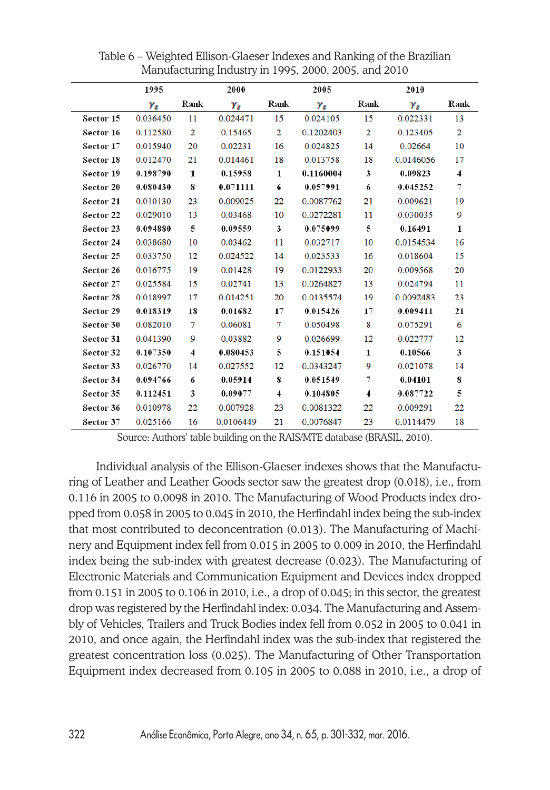|           | 1995     |                         | 2000      |                | 2005       |                         | 2010      |                         |
|-----------|----------|-------------------------|-----------|----------------|------------|-------------------------|-----------|-------------------------|
|           | Ys       | Rank                    | Ys        | Rank           | $\gamma_s$ | Rank                    | Ys        | Rank                    |
| Sector 15 | 0.036450 | 11                      | 0.024471  | 15             | 0.024105   | 15                      | 0.022331  | 13                      |
| Sector 16 | 0.112580 | $\overline{2}$          | 0.15465   | $\overline{2}$ | 0.1202403  | $\overline{2}$          | 0.123405  | $\overline{2}$          |
| Sector 17 | 0.015940 | 20                      | 0.02231   | 16             | 0.024825   | 14                      | 0.02664   | 10                      |
| Sector 18 | 0.012470 | 21                      | 0.014461  | 18             | 0.013758   | 18                      | 0.0146056 | 17                      |
| Sector 19 | 0.198790 | $\mathbf{1}$            | 0.15958   | 1              | 0.1160004  | 3                       | 0.09823   | $\overline{\mathbf{4}}$ |
| Sector 20 | 0.080430 | 8                       | 0.071111  | 6              | 0.057991   | 6                       | 0.045252  | 7                       |
| Sector 21 | 0.010130 | 23                      | 0.009025  | 22             | 0.0087762  | 21                      | 0.009621  | 19                      |
| Sector 22 | 0.029010 | 13                      | 0.03468   | 10             | 0.0272281  | 11                      | 0.030035  | 9                       |
| Sector 23 | 0.094880 | 5                       | 0.09559   | 3              | 0.075099   | 5                       | 0.16491   | $\mathbf{1}$            |
| Sector 24 | 0.038680 | 10                      | 0.03462   | 11             | 0.032717   | 10                      | 0.0154534 | 16                      |
| Sector 25 | 0.033750 | 12                      | 0.024522  | 14             | 0.023533   | 16                      | 0.018604  | 15                      |
| Sector 26 | 0.016775 | 19                      | 0.01428   | 19             | 0.0122933  | 20                      | 0.009568  | 20                      |
| Sector 27 | 0.025584 | 15                      | 0.02741   | 13             | 0.0264827  | 13                      | 0.024794  | 11                      |
| Sector 28 | 0.018997 | 17                      | 0.014251  | 20             | 0.0135574  | 19                      | 0.0092483 | 23                      |
| Sector 29 | 0.018319 | 18                      | 0.01682   | 17             | 0.015426   | 17                      | 0.009411  | 21                      |
| Sector 30 | 0.082010 | 7                       | 0.06081   | 7              | 0.050498   | 8                       | 0.075291  | 6                       |
| Sector 31 | 0.041390 | 9                       | 0.03882   | 9              | 0.026699   | 12                      | 0.022777  | 12                      |
| Sector 32 | 0.107350 | $\overline{\mathbf{4}}$ | 0.080453  | 5              | 0.151054   | $\mathbf{1}$            | 0.10566   | 3                       |
| Sector 33 | 0.026770 | 14                      | 0.027552  | 12             | 0.0343247  | 9                       | 0.021078  | 14                      |
| Sector 34 | 0.094766 | 6                       | 0.05914   | 8              | 0.051549   | 7                       | 0.04101   | 8                       |
| Sector 35 | 0.112451 | 3                       | 0.09077   | 4              | 0.104805   | $\overline{\mathbf{4}}$ | 0.087722  | 5                       |
| Sector 36 | 0.010978 | 22                      | 0.007928  | 23             | 0.0081322  | 22                      | 0.009291  | 22                      |
| Sector 37 | 0.025166 | 16                      | 0.0106449 | 21             | 0.0076847  | 23                      | 0.0114479 | 18                      |

Table 6 – Weighted Ellison-Glaeser Indexes and Ranking of the Brazilian Manufacturing Industry in 1995, 2000, 2005, and 2010

Source: Authors' table building on the RAIS/MTE database (BRASIL, 2010).

Individual analysis of the Ellison-Glaeser indexes shows that the Manufacturing of Leather and Leather Goods sector saw the greatest drop (0.018), i.e., from 0.116 in 2005 to 0.0098 in 2010. The Manufacturing of Wood Products index dropped from 0.058 in 2005 to 0.045 in 2010, the Herfindahl index being the sub-index that most contributed to deconcentration (0.013). The Manufacturing of Machinery and Equipment index fell from 0.015 in 2005 to 0.009 in 2010, the Herfindahl index being the sub-index with greatest decrease (0.023). The Manufacturing of Electronic Materials and Communication Equipment and Devices index dropped from 0.151 in 2005 to 0.106 in 2010, i.e., a drop of 0.045; in this sector, the greatest drop was registered by the Herfindahl index: 0.034. The Manufacturing and Assembly of Vehicles, Trailers and Truck Bodies index fell from 0.052 in 2005 to 0.041 in 2010, and once again, the Herfindahl index was the sub-index that registered the greatest concentration loss (0.025). The Manufacturing of Other Transportation Equipment index decreased from 0.105 in 2005 to 0.088 in 2010, i.e., a drop of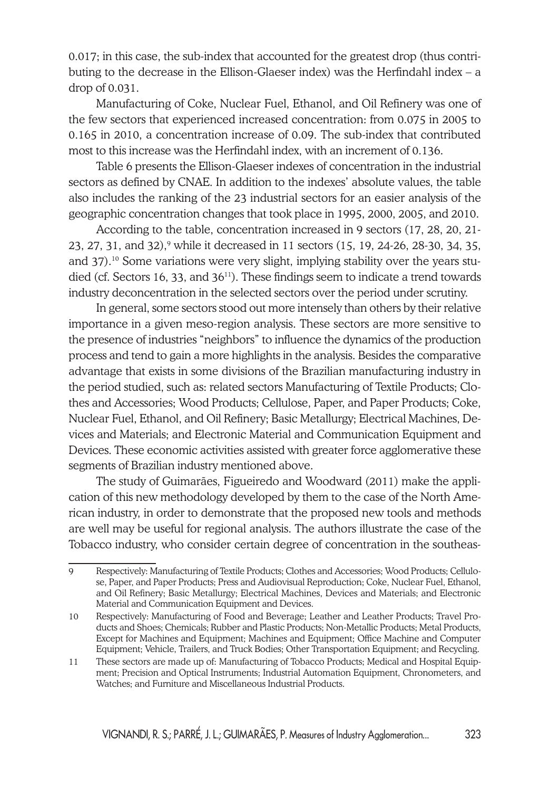0.017; in this case, the sub-index that accounted for the greatest drop (thus contributing to the decrease in the Ellison-Glaeser index) was the Herfindahl index – a drop of 0.031.

Manufacturing of Coke, Nuclear Fuel, Ethanol, and Oil Refinery was one of the few sectors that experienced increased concentration: from 0.075 in 2005 to 0.165 in 2010, a concentration increase of 0.09. The sub-index that contributed most to this increase was the Herfindahl index, with an increment of 0.136.

Table 6 presents the Ellison-Glaeser indexes of concentration in the industrial sectors as defined by CNAE. In addition to the indexes' absolute values, the table also includes the ranking of the 23 industrial sectors for an easier analysis of the geographic concentration changes that took place in 1995, 2000, 2005, and 2010.

According to the table, concentration increased in 9 sectors (17, 28, 20, 21- 23, 27, 31, and 32),<sup>9</sup> while it decreased in 11 sectors (15, 19, 24-26, 28-30, 34, 35, and 37).10 Some variations were very slight, implying stability over the years studied (cf. Sectors 16, 33, and 36<sup>11</sup>). These findings seem to indicate a trend towards industry deconcentration in the selected sectors over the period under scrutiny.

In general, some sectors stood out more intensely than others by their relative importance in a given meso-region analysis. These sectors are more sensitive to the presence of industries "neighbors" to influence the dynamics of the production process and tend to gain a more highlights in the analysis. Besides the comparative advantage that exists in some divisions of the Brazilian manufacturing industry in the period studied, such as: related sectors Manufacturing of Textile Products; Clothes and Accessories; Wood Products; Cellulose, Paper, and Paper Products; Coke, Nuclear Fuel, Ethanol, and Oil Refinery; Basic Metallurgy; Electrical Machines, Devices and Materials; and Electronic Material and Communication Equipment and Devices. These economic activities assisted with greater force agglomerative these segments of Brazilian industry mentioned above.

The study of Guimarães, Figueiredo and Woodward (2011) make the application of this new methodology developed by them to the case of the North American industry, in order to demonstrate that the proposed new tools and methods are well may be useful for regional analysis. The authors illustrate the case of the Tobacco industry, who consider certain degree of concentration in the southeas-

<sup>9</sup> Respectively: Manufacturing of Textile Products; Clothes and Accessories; Wood Products; Cellulose, Paper, and Paper Products; Press and Audiovisual Reproduction; Coke, Nuclear Fuel, Ethanol, and Oil Refinery; Basic Metallurgy; Electrical Machines, Devices and Materials; and Electronic Material and Communication Equipment and Devices.

<sup>10</sup> Respectively: Manufacturing of Food and Beverage; Leather and Leather Products; Travel Products and Shoes; Chemicals; Rubber and Plastic Products; Non-Metallic Products; Metal Products, Except for Machines and Equipment; Machines and Equipment; Office Machine and Computer Equipment; Vehicle, Trailers, and Truck Bodies; Other Transportation Equipment; and Recycling.

<sup>11</sup> These sectors are made up of: Manufacturing of Tobacco Products; Medical and Hospital Equipment; Precision and Optical Instruments; Industrial Automation Equipment, Chronometers, and Watches; and Furniture and Miscellaneous Industrial Products.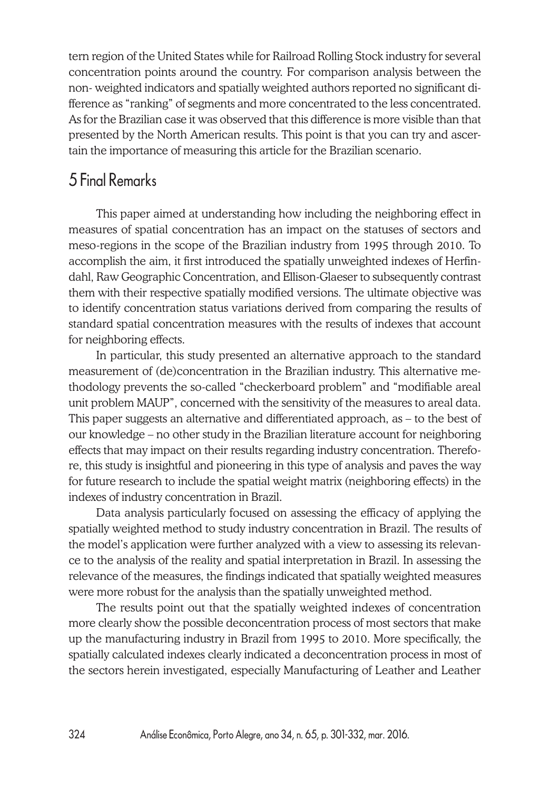tern region of the United States while for Railroad Rolling Stock industry for several concentration points around the country. For comparison analysis between the non- weighted indicators and spatially weighted authors reported no significant difference as "ranking" of segments and more concentrated to the less concentrated. As for the Brazilian case it was observed that this difference is more visible than that presented by the North American results. This point is that you can try and ascertain the importance of measuring this article for the Brazilian scenario.

# 5 Final Remarks

This paper aimed at understanding how including the neighboring effect in measures of spatial concentration has an impact on the statuses of sectors and meso-regions in the scope of the Brazilian industry from 1995 through 2010. To accomplish the aim, it first introduced the spatially unweighted indexes of Herfindahl, Raw Geographic Concentration, and Ellison-Glaeser to subsequently contrast them with their respective spatially modified versions. The ultimate objective was to identify concentration status variations derived from comparing the results of standard spatial concentration measures with the results of indexes that account for neighboring effects.

In particular, this study presented an alternative approach to the standard measurement of (de)concentration in the Brazilian industry. This alternative methodology prevents the so-called "checkerboard problem" and "modifiable areal unit problem MAUP", concerned with the sensitivity of the measures to areal data. This paper suggests an alternative and differentiated approach, as – to the best of our knowledge – no other study in the Brazilian literature account for neighboring effects that may impact on their results regarding industry concentration. Therefore, this study is insightful and pioneering in this type of analysis and paves the way for future research to include the spatial weight matrix (neighboring effects) in the indexes of industry concentration in Brazil.

Data analysis particularly focused on assessing the efficacy of applying the spatially weighted method to study industry concentration in Brazil. The results of the model's application were further analyzed with a view to assessing its relevance to the analysis of the reality and spatial interpretation in Brazil. In assessing the relevance of the measures, the findings indicated that spatially weighted measures were more robust for the analysis than the spatially unweighted method.

The results point out that the spatially weighted indexes of concentration more clearly show the possible deconcentration process of most sectors that make up the manufacturing industry in Brazil from 1995 to 2010. More specifically, the spatially calculated indexes clearly indicated a deconcentration process in most of the sectors herein investigated, especially Manufacturing of Leather and Leather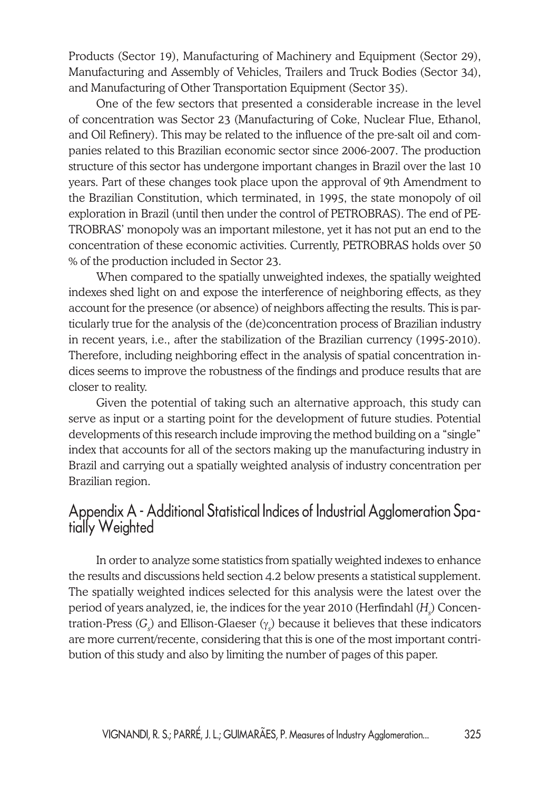Products (Sector 19), Manufacturing of Machinery and Equipment (Sector 29), Manufacturing and Assembly of Vehicles, Trailers and Truck Bodies (Sector 34), and Manufacturing of Other Transportation Equipment (Sector 35).

One of the few sectors that presented a considerable increase in the level of concentration was Sector 23 (Manufacturing of Coke, Nuclear Flue, Ethanol, and Oil Refinery). This may be related to the influence of the pre-salt oil and companies related to this Brazilian economic sector since 2006-2007. The production structure of this sector has undergone important changes in Brazil over the last 10 years. Part of these changes took place upon the approval of 9th Amendment to the Brazilian Constitution, which terminated, in 1995, the state monopoly of oil exploration in Brazil (until then under the control of PETROBRAS). The end of PE-TROBRAS' monopoly was an important milestone, yet it has not put an end to the concentration of these economic activities. Currently, PETROBRAS holds over 50 % of the production included in Sector 23.

When compared to the spatially unweighted indexes, the spatially weighted indexes shed light on and expose the interference of neighboring effects, as they account for the presence (or absence) of neighbors affecting the results. This is particularly true for the analysis of the (de)concentration process of Brazilian industry in recent years, i.e., after the stabilization of the Brazilian currency (1995-2010). Therefore, including neighboring effect in the analysis of spatial concentration indices seems to improve the robustness of the findings and produce results that are closer to reality.

Given the potential of taking such an alternative approach, this study can serve as input or a starting point for the development of future studies. Potential developments of this research include improving the method building on a "single" index that accounts for all of the sectors making up the manufacturing industry in Brazil and carrying out a spatially weighted analysis of industry concentration per Brazilian region.

# Appendix A - Additional Statistical Indices of Industrial Agglomeration Spa- tially Weighted

In order to analyze some statistics from spatially weighted indexes to enhance the results and discussions held section 4.2 below presents a statistical supplement. The spatially weighted indices selected for this analysis were the latest over the period of years analyzed, ie, the indices for the year 2010 (Herfindahl (H<sub>s</sub>) Concentration-Press (G<sub>s</sub>) and Ellison-Glaeser (γ<sub>s</sub>) because it believes that these indicators are more current/recente, considering that this is one of the most important contribution of this study and also by limiting the number of pages of this paper.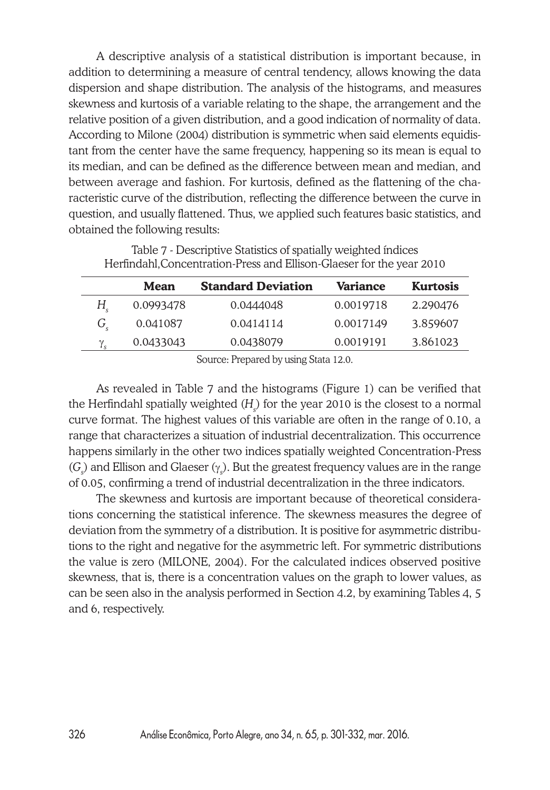A descriptive analysis of a statistical distribution is important because, in addition to determining a measure of central tendency, allows knowing the data dispersion and shape distribution. The analysis of the histograms, and measures skewness and kurtosis of a variable relating to the shape, the arrangement and the relative position of a given distribution, and a good indication of normality of data. According to Milone (2004) distribution is symmetric when said elements equidistant from the center have the same frequency, happening so its mean is equal to its median, and can be defined as the difference between mean and median, and between average and fashion. For kurtosis, defined as the flattening of the characteristic curve of the distribution, reflecting the difference between the curve in question, and usually flattened. Thus, we applied such features basic statistics, and obtained the following results:

|             | Herfindahl, Concentration-Press and Ellison-Glaeser for the year 2010 |                           |                 |                 |  |  |  |  |  |  |
|-------------|-----------------------------------------------------------------------|---------------------------|-----------------|-----------------|--|--|--|--|--|--|
|             | Mean                                                                  | <b>Standard Deviation</b> | <b>Variance</b> | <b>Kurtosis</b> |  |  |  |  |  |  |
| H.          | 0.0993478                                                             | 0.0444048                 | 0.0019718       | 2.290476        |  |  |  |  |  |  |
| $G_{\rm c}$ | 0.041087                                                              | 0.0414114                 | 0.0017149       | 3.859607        |  |  |  |  |  |  |
|             | 0.0433043                                                             | 0.0438079                 | 0.0019191       | 3.861023        |  |  |  |  |  |  |

Table 7 - Descriptive Statistics of spatially weighted índices

Source: Prepared by using Stata 12.0.

As revealed in Table 7 and the histograms (Figure 1) can be verified that the Herfindahl spatially weighted (H<sub>s</sub>) for the year 2010 is the closest to a normal curve format. The highest values of this variable are often in the range of 0.10, a range that characterizes a situation of industrial decentralization. This occurrence happens similarly in the other two indices spatially weighted Concentration-Press (G<sub>)</sub> and Ellison and Glaeser (<sub>Y<sub>s</sub>). But the greatest frequency values are in the range</sub> of 0.05, confirming a trend of industrial decentralization in the three indicators.

The skewness and kurtosis are important because of theoretical considerations concerning the statistical inference. The skewness measures the degree of deviation from the symmetry of a distribution. It is positive for asymmetric distributions to the right and negative for the asymmetric left. For symmetric distributions the value is zero (MILONE, 2004). For the calculated indices observed positive skewness, that is, there is a concentration values on the graph to lower values, as can be seen also in the analysis performed in Section 4.2, by examining Tables 4, 5 and 6, respectively.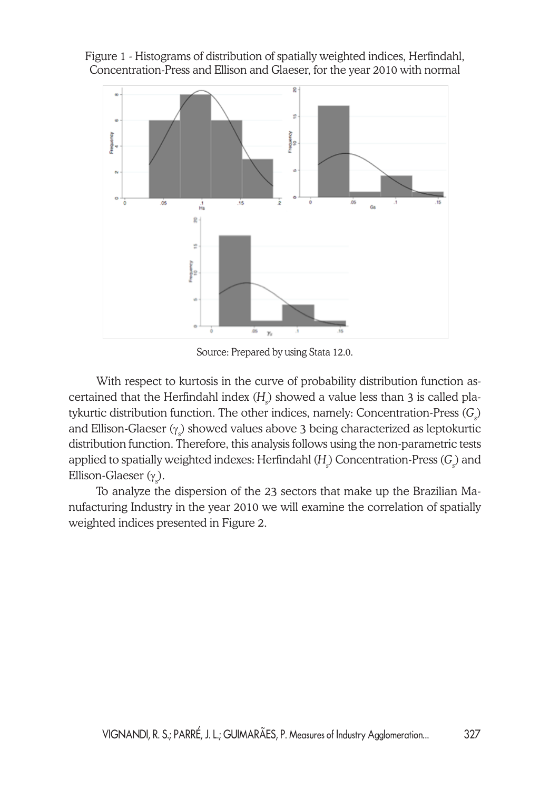Figure 1 - Histograms of distribution of spatially weighted indices, Herfindahl, Concentration-Press and Ellison and Glaeser, for the year 2010 with normal



Source: Prepared by using Stata 12.0.

With respect to kurtosis in the curve of probability distribution function ascertained that the Herfindahl index (H<sub>s</sub>) showed a value less than 3 is called platykurtic distribution function. The other indices, namely: Concentration-Press (G<sub>s</sub>) and Ellison-Glaeser ( $\gamma_{\rm s}$ ) showed values above 3 being characterized as leptokurtic distribution function. Therefore, this analysis follows using the non-parametric tests applied to spatially weighted indexes: Herfindahl (H<sub>.</sub>) Concentration-Press (G<sub>.</sub>) and Ellison-Glaeser ( $\gamma_{\rm s}$ ).

To analyze the dispersion of the 23 sectors that make up the Brazilian Manufacturing Industry in the year 2010 we will examine the correlation of spatially weighted indices presented in Figure 2.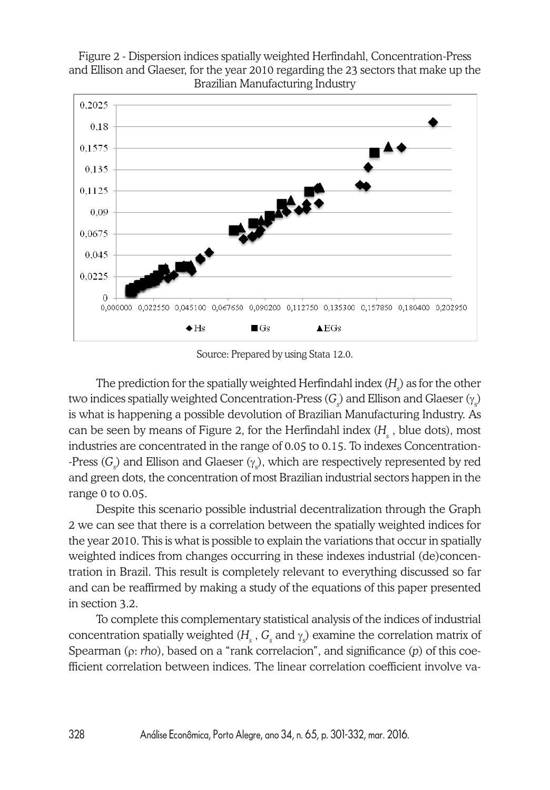

Figure 2 - Dispersion indices spatially weighted Herfindahl, Concentration-Press and Ellison and Glaeser, for the year 2010 regarding the 23 sectors that make up the

Source: Prepared by using Stata 12.0.

The prediction for the spatially weighted Herfindahl index  $(H_{\downarrow})$  as for the other two indices spatially weighted Concentration-Press (*G<sub>s</sub>*) and Ellison and Glaeser (<sub>Ys</sub>) is what is happening a possible devolution of Brazilian Manufacturing Industry. As can be seen by means of Figure 2, for the Herfindahl index (H<sub>s</sub> , blue dots), most industries are concentrated in the range of 0.05 to 0.15. To indexes Concentration- -Press ( $G_{\!\scriptscriptstyle\rm S}$ ) and Ellison and Glaeser ( $\gamma_{\scriptscriptstyle\rm S}$ ), which are respectively represented by red and green dots, the concentration of most Brazilian industrial sectors happen in the range 0 to 0.05.

Despite this scenario possible industrial decentralization through the Graph 2 we can see that there is a correlation between the spatially weighted indices for the year 2010. This is what is possible to explain the variations that occur in spatially weighted indices from changes occurring in these indexes industrial (de)concentration in Brazil. This result is completely relevant to everything discussed so far and can be reaffirmed by making a study of the equations of this paper presented in section 3.2.

To complete this complementary statistical analysis of the indices of industrial concentration spatially weighted ( $H_{\text{\tiny S}}$  ,  $G_{\text{\tiny S}}$  and  $\gamma_{\text{\tiny S}}$ ) examine the correlation matrix of Spearman (ρ: *rho*), based on a "rank correlacion", and significance (*p*) of this coefficient correlation between indices. The linear correlation coefficient involve va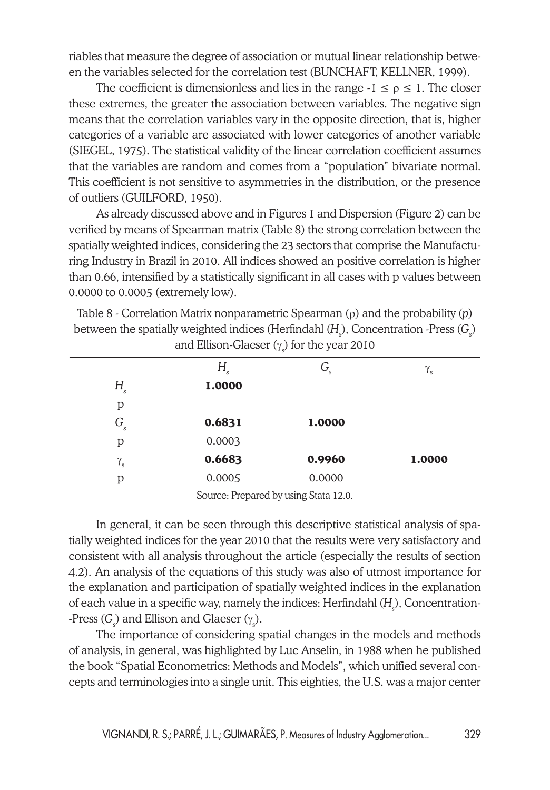riables that measure the degree of association or mutual linear relationship between the variables selected for the correlation test (BUNCHAFT, KELLNER, 1999).

The coefficient is dimensionless and lies in the range  $-1 \le \rho \le 1$ . The closer these extremes, the greater the association between variables. The negative sign means that the correlation variables vary in the opposite direction, that is, higher categories of a variable are associated with lower categories of another variable (SIEGEL, 1975). The statistical validity of the linear correlation coefficient assumes that the variables are random and comes from a "population" bivariate normal. This coefficient is not sensitive to asymmetries in the distribution, or the presence of outliers (GUILFORD, 1950).

As already discussed above and in Figures 1 and Dispersion (Figure 2) can be verified by means of Spearman matrix (Table 8) the strong correlation between the spatially weighted indices, considering the 23 sectors that comprise the Manufacturing Industry in Brazil in 2010. All indices showed an positive correlation is higher than 0.66, intensified by a statistically significant in all cases with p values between 0.0000 to 0.0005 (extremely low).

Table 8 - Correlation Matrix nonparametric Spearman (ρ) and the probability (*p*) between the spatially weighted indices (Herfindahl (H<sub>s</sub>), Concentration -Press (G<sub>s</sub>) and Ellison-Glaeser ( $\gamma_s$ ) for the year 2010

|                  | $H_{\rm s}$ | G<br>S | $\gamma_{\rm s}$ |
|------------------|-------------|--------|------------------|
| $H_{s}$          | 1.0000      |        |                  |
| р                |             |        |                  |
| $G_{S}$          | 0.6831      | 1.0000 |                  |
| p                | 0.0003      |        |                  |
| $\gamma_{\rm s}$ | 0.6683      | 0.9960 | 1.0000           |
| D                | 0.0005      | 0.0000 |                  |

Source: Prepared by using Stata 12.0.

In general, it can be seen through this descriptive statistical analysis of spatially weighted indices for the year 2010 that the results were very satisfactory and consistent with all analysis throughout the article (especially the results of section 4.2). An analysis of the equations of this study was also of utmost importance for the explanation and participation of spatially weighted indices in the explanation of each value in a specific way, namely the indices: Herfindahl (H<sub>s</sub>), Concentration- $\cdot$ Press ( $G_{\!\scriptscriptstyle (\!\varsigma\!)}$  and Ellison and Glaeser ( $\gamma_{\scriptscriptstyle (\!\varsigma\!)}$ ).

The importance of considering spatial changes in the models and methods of analysis, in general, was highlighted by Luc Anselin, in 1988 when he published the book "Spatial Econometrics: Methods and Models", which unified several concepts and terminologies into a single unit. This eighties, the U.S. was a major center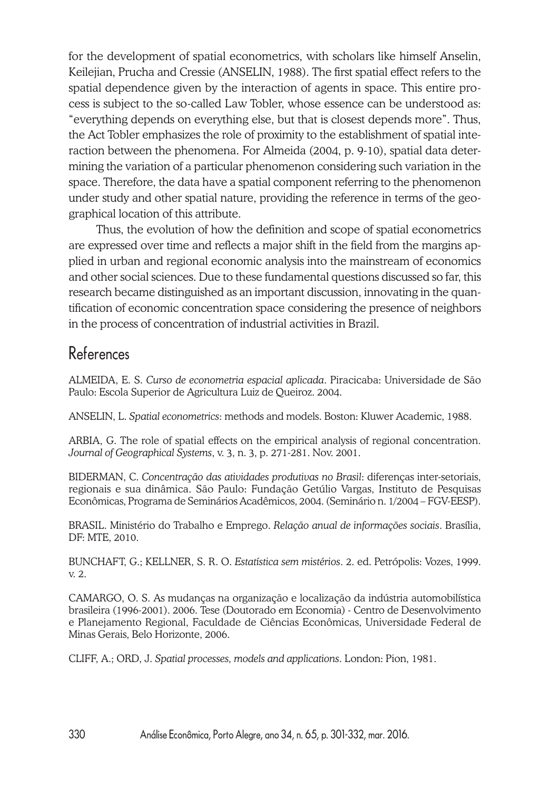for the development of spatial econometrics, with scholars like himself Anselin, Keilejian, Prucha and Cressie (ANSELIN, 1988). The first spatial effect refers to the spatial dependence given by the interaction of agents in space. This entire process is subject to the so-called Law Tobler, whose essence can be understood as: "everything depends on everything else, but that is closest depends more". Thus, the Act Tobler emphasizes the role of proximity to the establishment of spatial interaction between the phenomena. For Almeida (2004, p. 9-10), spatial data determining the variation of a particular phenomenon considering such variation in the space. Therefore, the data have a spatial component referring to the phenomenon under study and other spatial nature, providing the reference in terms of the geographical location of this attribute.

Thus, the evolution of how the definition and scope of spatial econometrics are expressed over time and reflects a major shift in the field from the margins applied in urban and regional economic analysis into the mainstream of economics and other social sciences. Due to these fundamental questions discussed so far, this research became distinguished as an important discussion, innovating in the quantification of economic concentration space considering the presence of neighbors in the process of concentration of industrial activities in Brazil.

# References

ALMEIDA, E. S. *Curso de econometria espacial aplicada*. Piracicaba: Universidade de São Paulo: Escola Superior de Agricultura Luiz de Queiroz. 2004.

ANSELIN, L. *Spatial econometrics*: methods and models. Boston: Kluwer Academic, 1988.

ARBIA, G. The role of spatial effects on the empirical analysis of regional concentration. *Journal of Geographical Systems*, v. 3, n. 3, p. 271-281. Nov. 2001.

BIDERMAN, C. *Concentração das atividades produtivas no Brasil*: diferenças inter-setoriais, regionais e sua dinâmica. São Paulo: Fundação Getúlio Vargas, Instituto de Pesquisas Econômicas, Programa de Seminários Acadêmicos, 2004. (Seminário n. 1/2004 – FGV-EESP).

BRASIL. Ministério do Trabalho e Emprego. *Relação anual de informações sociais*. Brasília, DF: MTE, 2010.

BUNCHAFT, G.; KELLNER, S. R. O. *Estatística sem mistérios*. 2. ed. Petrópolis: Vozes, 1999. v. 2.

CAMARGO, O. S. As mudanças na organização e localização da indústria automobilística brasileira (1996-2001). 2006. Tese (Doutorado em Economia) - Centro de Desenvolvimento e Planejamento Regional, Faculdade de Ciências Econômicas, Universidade Federal de Minas Gerais, Belo Horizonte, 2006.

CLIFF, A.; ORD, J. *Spatial processes, models and applications*. London: Pion, 1981.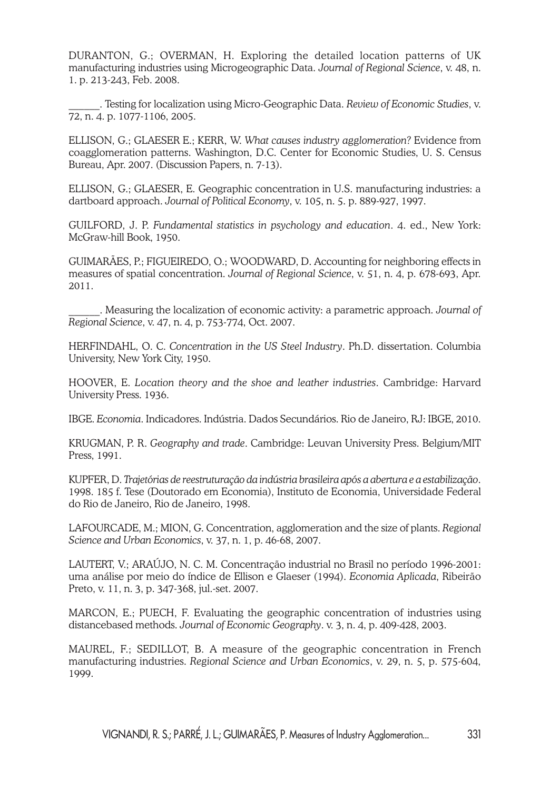DURANTON, G.; OVERMAN, H. Exploring the detailed location patterns of UK manufacturing industries using Microgeographic Data. *Journal of Regional Science*, v. 48, n. 1. p. 213-243, Feb. 2008.

\_\_\_\_\_\_. Testing for localization using Micro-Geographic Data. *Review of Economic Studies*, v. 72, n. 4. p. 1077-1106, 2005.

ELLISON, G.; GLAESER E.; KERR, W. *What causes industry agglomeration?* Evidence from coagglomeration patterns. Washington, D.C. Center for Economic Studies, U. S. Census Bureau, Apr. 2007. (Discussion Papers, n. 7-13).

ELLISON, G.; GLAESER, E. Geographic concentration in U.S. manufacturing industries: a dartboard approach. *Journal of Political Economy*, v. 105, n. 5. p. 889-927, 1997.

GUILFORD, J. P. *Fundamental statistics in psychology and education*. 4. ed., New York: McGraw-hill Book, 1950.

GUIMARÃES, P.; FIGUEIREDO, O.; WOODWARD, D. Accounting for neighboring effects in measures of spatial concentration. *Journal of Regional Science*, v. 51, n. 4, p. 678-693, Apr. 2011.

\_\_\_\_\_\_. Measuring the localization of economic activity: a parametric approach. *Journal of Regional Science*, v. 47, n. 4, p. 753-774, Oct. 2007.

HERFINDAHL, O. C. *Concentration in the US Steel Industry*. Ph.D. dissertation. Columbia University, New York City, 1950.

HOOVER, E. *Location theory and the shoe and leather industries*. Cambridge: Harvard University Press. 1936.

IBGE. *Economia*. Indicadores. Indústria. Dados Secundários. Rio de Janeiro, RJ: IBGE, 2010.

KRUGMAN, P. R. *Geography and trade*. Cambridge: Leuvan University Press. Belgium/MIT Press, 1991.

KUPFER, D. *Trajetórias de reestruturação da indústria brasileira após a abertura e a estabilização*. 1998. 185 f. Tese (Doutorado em Economia), Instituto de Economia, Universidade Federal do Rio de Janeiro, Rio de Janeiro, 1998.

LAFOURCADE, M.; MION, G. Concentration, agglomeration and the size of plants. *Regional Science and Urban Economics*, v. 37, n. 1, p. 46-68, 2007.

LAUTERT, V.; ARAÚJO, N. C. M. Concentração industrial no Brasil no período 1996-2001: uma análise por meio do índice de Ellison e Glaeser (1994). *Economia Aplicada*, Ribeirão Preto, v. 11, n. 3, p. 347-368, jul.-set. 2007.

MARCON, E.; PUECH, F. Evaluating the geographic concentration of industries using distancebased methods. *Journal of Economic Geography*. v. 3, n. 4, p. 409-428, 2003.

MAUREL, F.; SEDILLOT, B. A measure of the geographic concentration in French manufacturing industries. *Regional Science and Urban Economics*, v. 29, n. 5, p. 575-604, 1999.